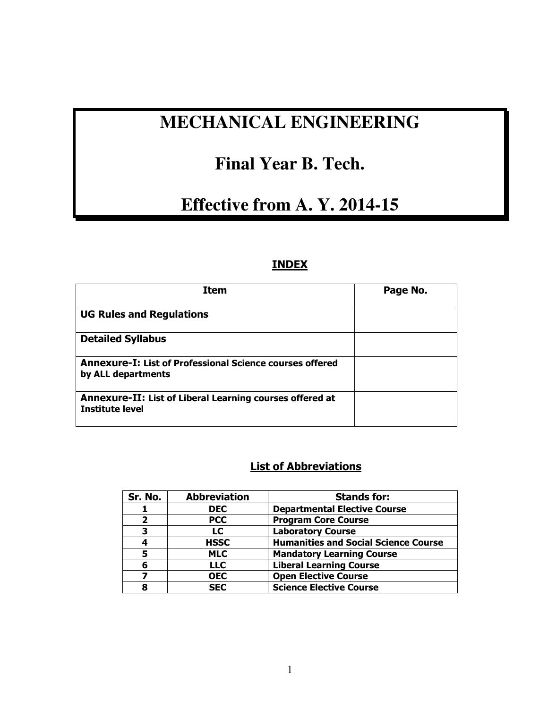# **MECHANICAL ENGINEERING**

# **Final Year B. Tech.**

# **Effective from A. Y. 2014-15**

# **INDEX**

| <b>Item</b>                                                                               | Page No. |
|-------------------------------------------------------------------------------------------|----------|
| <b>UG Rules and Regulations</b>                                                           |          |
| <b>Detailed Syllabus</b>                                                                  |          |
| <b>Annexure-I: List of Professional Science courses offered</b><br>by ALL departments     |          |
| <b>Annexure-II: List of Liberal Learning courses offered at</b><br><b>Institute level</b> |          |

# **List of Abbreviations**

| Sr. No. | <b>Abbreviation</b> | <b>Stands for:</b>                          |
|---------|---------------------|---------------------------------------------|
|         | <b>DEC</b>          | <b>Departmental Elective Course</b>         |
| 2       | <b>PCC</b>          | <b>Program Core Course</b>                  |
| 3       | LC                  | <b>Laboratory Course</b>                    |
|         | <b>HSSC</b>         | <b>Humanities and Social Science Course</b> |
| 5       | <b>MLC</b>          | <b>Mandatory Learning Course</b>            |
| 6       | <b>LLC</b>          | <b>Liberal Learning Course</b>              |
|         | <b>OEC</b>          | <b>Open Elective Course</b>                 |
| я       | <b>SEC</b>          | <b>Science Elective Course</b>              |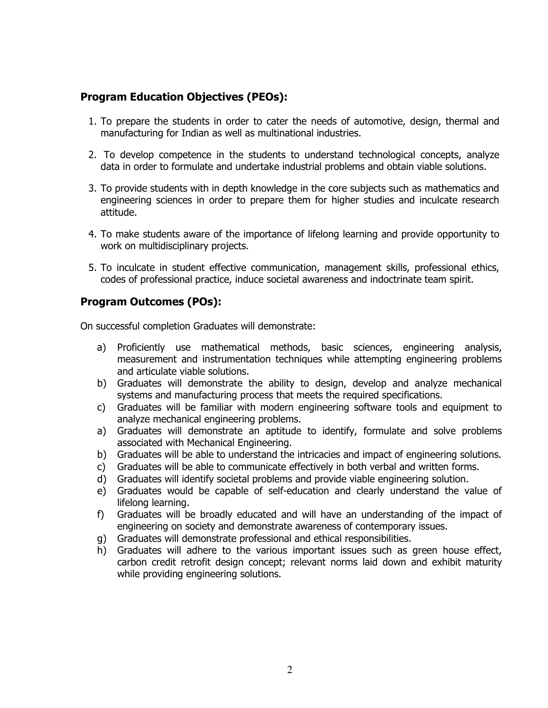### **Program Education Objectives (PEOs):**

- 1. To prepare the students in order to cater the needs of automotive, design, thermal and manufacturing for Indian as well as multinational industries.
- 2. To develop competence in the students to understand technological concepts, analyze data in order to formulate and undertake industrial problems and obtain viable solutions.
- 3. To provide students with in depth knowledge in the core subjects such as mathematics and engineering sciences in order to prepare them for higher studies and inculcate research attitude.
- 4. To make students aware of the importance of lifelong learning and provide opportunity to work on multidisciplinary projects.
- 5. To inculcate in student effective communication, management skills, professional ethics, codes of professional practice, induce societal awareness and indoctrinate team spirit.

### **Program Outcomes (POs):**

On successful completion Graduates will demonstrate:

- a) Proficiently use mathematical methods, basic sciences, engineering analysis, measurement and instrumentation techniques while attempting engineering problems and articulate viable solutions.
- b) Graduates will demonstrate the ability to design, develop and analyze mechanical systems and manufacturing process that meets the required specifications.
- c) Graduates will be familiar with modern engineering software tools and equipment to analyze mechanical engineering problems.
- a) Graduates will demonstrate an aptitude to identify, formulate and solve problems associated with Mechanical Engineering.
- b) Graduates will be able to understand the intricacies and impact of engineering solutions.
- c) Graduates will be able to communicate effectively in both verbal and written forms.
- d) Graduates will identify societal problems and provide viable engineering solution.
- e) Graduates would be capable of self-education and clearly understand the value of lifelong learning.
- f) Graduates will be broadly educated and will have an understanding of the impact of engineering on society and demonstrate awareness of contemporary issues.
- g) Graduates will demonstrate professional and ethical responsibilities.
- h) Graduates will adhere to the various important issues such as green house effect, carbon credit retrofit design concept; relevant norms laid down and exhibit maturity while providing engineering solutions.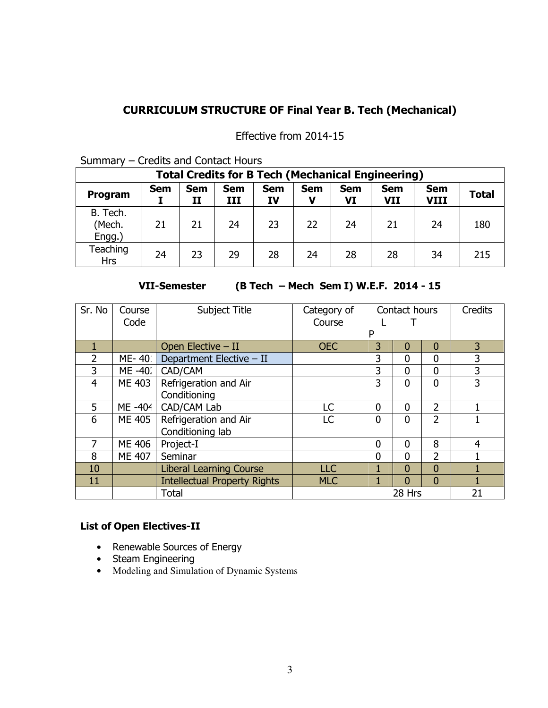# **CURRICULUM STRUCTURE OF Final Year B. Tech (Mechanical)**

Effective from 2014-15

| --------<br>Gregies and concact noars                    |            |                  |                   |                         |            |                  |                   |                           |              |
|----------------------------------------------------------|------------|------------------|-------------------|-------------------------|------------|------------------|-------------------|---------------------------|--------------|
| <b>Total Credits for B Tech (Mechanical Engineering)</b> |            |                  |                   |                         |            |                  |                   |                           |              |
| Program                                                  | <b>Sem</b> | <b>Sem</b><br>II | <b>Sem</b><br>III | <b>Sem</b><br><b>IV</b> | <b>Sem</b> | <b>Sem</b><br>VI | <b>Sem</b><br>VII | <b>Sem</b><br><b>VIII</b> | <b>Total</b> |
| B. Tech.<br>(Mech.<br>Engg.)                             | 21         | 21               | 24                | 23                      | 22         | 24               | 21                | 24                        | 180          |
| Teaching<br><b>Hrs</b>                                   | 24         | 23               | 29                | 28                      | 24         | 28               | 28                | 34                        | 215          |

Summary – Credits and Contact Hours

**VII-Semester (B Tech – Mech Sem I) W.E.F. 2014 - 15** 

| Sr. No         | Course<br>Code | Subject Title                       | Category of<br>Course | Contact hours  |                | <b>Credits</b> |                |
|----------------|----------------|-------------------------------------|-----------------------|----------------|----------------|----------------|----------------|
|                |                |                                     |                       | P              |                |                |                |
| 1              |                | Open Elective - II                  | <b>OEC</b>            | 3              | $\overline{0}$ | $\mathbf{0}$   | $\overline{3}$ |
| $\overline{2}$ | ME-40.         | Department Elective - II            |                       | 3              | $\mathbf{0}$   | $\mathbf 0$    | 3              |
| 3              | ME -40.        | CAD/CAM                             |                       | 3              | $\Omega$       | $\Omega$       | 3              |
| $\overline{4}$ | ME 403         | Refrigeration and Air               |                       | 3              | $\mathbf{0}$   | $\Omega$       | 3              |
|                |                | Conditioning                        |                       |                |                |                |                |
| 5              | ME -404        | CAD/CAM Lab                         | LC.                   | $\Omega$       | 0              | $\overline{2}$ |                |
| 6              | ME 405         | Refrigeration and Air               | LC                    | $\Omega$       | $\Omega$       | $\mathcal{P}$  |                |
|                |                | Conditioning lab                    |                       |                |                |                |                |
| 7              | ME 406         | Project-I                           |                       | $\overline{0}$ | $\overline{0}$ | 8              | $\overline{4}$ |
| 8              | <b>ME 407</b>  | Seminar                             |                       | 0              | $\overline{0}$ | $\overline{2}$ |                |
| 10             |                | <b>Liberal Learning Course</b>      | <b>LLC</b>            | 1              | $\overline{0}$ | $\overline{0}$ |                |
| 11             |                | <b>Intellectual Property Rights</b> | <b>MLC</b>            |                | $\Omega$       | $\Omega$       | 1              |
|                |                | <b>Total</b>                        |                       |                | 28 Hrs         |                | 21             |

# **List of Open Electives-II**

- Renewable Sources of Energy
- Steam Engineering
- Modeling and Simulation of Dynamic Systems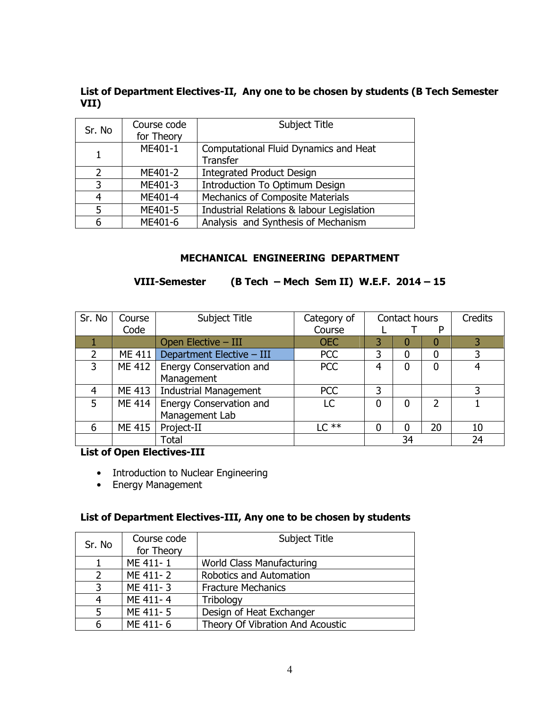#### **List of Department Electives-II, Any one to be chosen by students (B Tech Semester VII)**

| Sr. No        | Course code<br>for Theory | Subject Title                                     |
|---------------|---------------------------|---------------------------------------------------|
|               | ME401-1                   | Computational Fluid Dynamics and Heat<br>Transfer |
| $\mathcal{L}$ | ME401-2                   | <b>Integrated Product Design</b>                  |
| 3             | ME401-3                   | Introduction To Optimum Design                    |
| 4             | ME401-4                   | Mechanics of Composite Materials                  |
| 5             | ME401-5                   | Industrial Relations & labour Legislation         |
|               | ME401-6                   | Analysis and Synthesis of Mechanism               |

### **MECHANICAL ENGINEERING DEPARTMENT**

# **VIII-Semester (B Tech – Mech Sem II) W.E.F. 2014 – 15**

| Sr. No         | Course | Subject Title                  | Category of | Contact hours |    | Credits       |    |
|----------------|--------|--------------------------------|-------------|---------------|----|---------------|----|
|                | Code   |                                | Course      | D             |    |               |    |
|                |        | Open Elective - III            | <b>OEC</b>  |               | O  |               |    |
| $\overline{2}$ | ME 411 | Department Elective - III      | <b>PCC</b>  | 3             | 0  | 0             | 3  |
| 3              | ME 412 | <b>Energy Conservation and</b> | <b>PCC</b>  | 4             | 0  | 0             | 4  |
|                |        | Management                     |             |               |    |               |    |
| 4              | ME 413 | <b>Industrial Management</b>   | PCC         | 3             |    |               | 3  |
| 5              | ME 414 | <b>Energy Conservation and</b> | LC          | 0             | 0  | $\mathcal{D}$ |    |
|                |        | Management Lab                 |             |               |    |               |    |
| 6              | ME 415 | Project-II                     | $LC**$      | 0             | O  | 20            | 10 |
|                |        | <b>Total</b>                   |             |               | 34 |               | 24 |

**List of Open Electives-III** 

- Introduction to Nuclear Engineering
- Energy Management

### **List of Department Electives-III, Any one to be chosen by students**

| Sr. No        | Course code<br>for Theory | Subject Title                    |  |
|---------------|---------------------------|----------------------------------|--|
|               | ME 411-1                  | World Class Manufacturing        |  |
| $\mathcal{L}$ | ME 411-2                  | Robotics and Automation          |  |
| 3             | ME 411-3                  | <b>Fracture Mechanics</b>        |  |
|               | ME 411-4                  | Tribology                        |  |
|               | ME 411-5                  | Design of Heat Exchanger         |  |
|               | ME 411-6                  | Theory Of Vibration And Acoustic |  |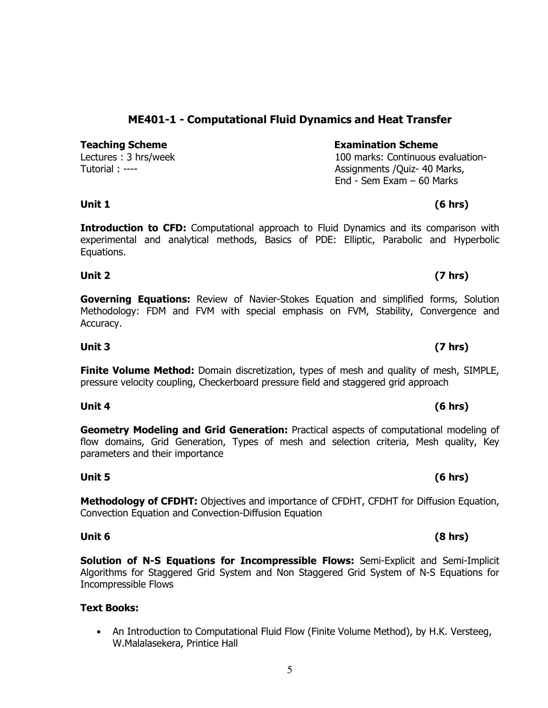# **ME401-1 - Computational Fluid Dynamics and Heat Transfer**

**Teaching Scheme**  The **Examination Scheme Examination Scheme** Lectures : 3 hrs/week

Tutorial : ----

# 100 marks: Continuous evaluation-Assignments /Quiz- 40 Marks, End - Sem Exam – 60 Marks

# **Unit 1 (6 hrs)**

**Introduction to CFD:** Computational approach to Fluid Dynamics and its comparison with experimental and analytical methods, Basics of PDE: Elliptic, Parabolic and Hyperbolic Equations.

### **Unit 2 (7 hrs)**

**Governing Equations:** Review of Navier-Stokes Equation and simplified forms, Solution Methodology: FDM and FVM with special emphasis on FVM, Stability, Convergence and Accuracy.

**Finite Volume Method:** Domain discretization, types of mesh and quality of mesh, SIMPLE, pressure velocity coupling, Checkerboard pressure field and staggered grid approach

**Geometry Modeling and Grid Generation:** Practical aspects of computational modeling of flow domains, Grid Generation, Types of mesh and selection criteria, Mesh quality, Key parameters and their importance

**Methodology of CFDHT:** Objectives and importance of CFDHT, CFDHT for Diffusion Equation, Convection Equation and Convection-Diffusion Equation

**Unit 5 (6 hrs)** 

**Solution of N-S Equations for Incompressible Flows:** Semi-Explicit and Semi-Implicit Algorithms for Staggered Grid System and Non Staggered Grid System of N-S Equations for Incompressible Flows

### **Text Books:**

• An Introduction to Computational Fluid Flow (Finite Volume Method), by H.K. Versteeg, W.Malalasekera, Printice Hall

# **Unit 3 (7 hrs)**

### **Unit 4 (6 hrs)**

### **Unit 6 (8 hrs)**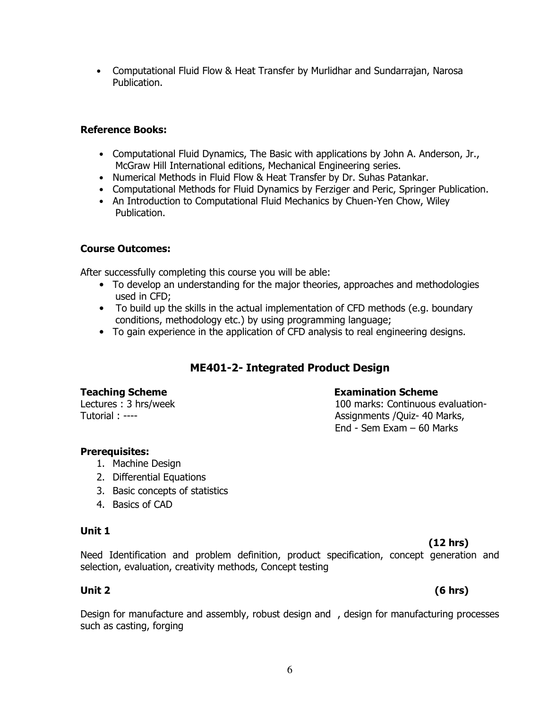**(12 hrs)**  Need Identification and problem definition, product specification, concept generation and selection, evaluation, creativity methods, Concept testing

### **Unit 2 (6 hrs)**

Design for manufacture and assembly, robust design and , design for manufacturing processes such as casting, forging

# **Prerequisites:**

Tutorial : ----

1. Machine Design

Lectures : 3 hrs/week

- 2. Differential Equations
- 3. Basic concepts of statistics
- 
- 4. Basics of CAD

100 marks: Continuous evaluation-Assignments /Quiz- 40 Marks, End - Sem Exam – 60 Marks

# Publication.

**Reference Books:** 

Publication.

# **Course Outcomes:**

After successfully completing this course you will be able:

- To develop an understanding for the major theories, approaches and methodologies used in CFD;
- To build up the skills in the actual implementation of CFD methods (e.g. boundary

• Computational Fluid Flow & Heat Transfer by Murlidhar and Sundarrajan, Narosa

• Computational Fluid Dynamics, The Basic with applications by John A. Anderson, Jr.,

• Computational Methods for Fluid Dynamics by Ferziger and Peric, Springer Publication.

• An Introduction to Computational Fluid Mechanics by Chuen-Yen Chow, Wiley

McGraw Hill International editions, Mechanical Engineering series. • Numerical Methods in Fluid Flow & Heat Transfer by Dr. Suhas Patankar.

conditions, methodology etc.) by using programming language;

**Teaching Scheme Examination Scheme** 

• To gain experience in the application of CFD analysis to real engineering designs.

# **ME401-2- Integrated Product Design**

# **Unit 1**

## 6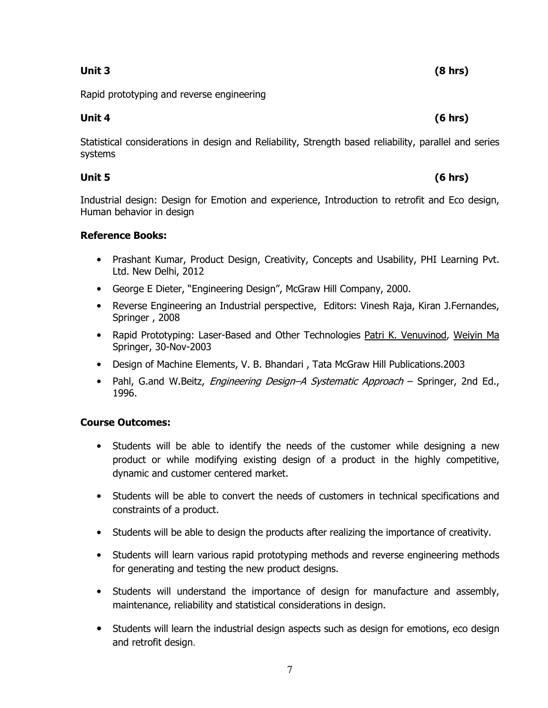## **Unit 3 (8 hrs)**

Rapid prototyping and reverse engineering

## **Unit 4 (6 hrs)**

Statistical considerations in design and Reliability, Strength based reliability, parallel and series systems

### **Unit 5 (6 hrs)**

Industrial design: Design for Emotion and experience, Introduction to retrofit and Eco design, Human behavior in design

### **Reference Books:**

- Prashant Kumar, Product Design, Creativity, Concepts and Usability, PHI Learning Pvt. Ltd. New Delhi, 2012
- George E Dieter, "Engineering Design", McGraw Hill Company, 2000.
- Reverse Engineering an Industrial perspective, Editors: Vinesh Raja, Kiran J.Fernandes, Springer , 2008
- Rapid Prototyping: Laser-Based and Other Technologies Patri K. Venuvinod, Weiyin Ma Springer, 30-Nov-2003
- Design of Machine Elements, V. B. Bhandari, Tata McGraw Hill Publications.2003
- Pahl, G.and W.Beitz, *Engineering Design–A Systematic Approach* Springer, 2nd Ed., 1996.

### **Course Outcomes:**

- Students will be able to identify the needs of the customer while designing a new product or while modifying existing design of a product in the highly competitive, dynamic and customer centered market.
- Students will be able to convert the needs of customers in technical specifications and constraints of a product.
- Students will be able to design the products after realizing the importance of creativity.
- Students will learn various rapid prototyping methods and reverse engineering methods for generating and testing the new product designs.
- Students will understand the importance of design for manufacture and assembly, maintenance, reliability and statistical considerations in design.
- Students will learn the industrial design aspects such as design for emotions, eco design and retrofit design.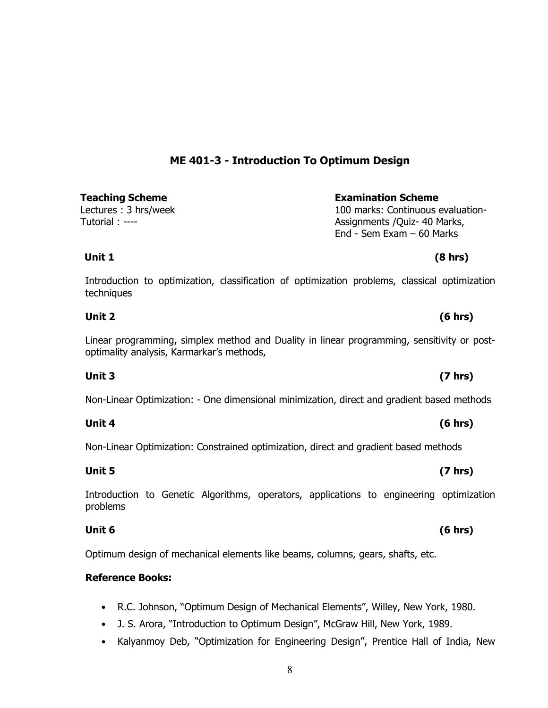# **ME 401-3 - Introduction To Optimum Design**

**Teaching Scheme Examination Scheme** Lectures : 3 hrs/week Tutorial : ----

Introduction to optimization, classification of optimization problems, classical optimization techniques

Linear programming, simplex method and Duality in linear programming, sensitivity or postoptimality analysis, Karmarkar's methods,

**Unit 2 (6 hrs)** 

Non-Linear Optimization: - One dimensional minimization, direct and gradient based methods

**Unit 4 (6 hrs)** 

Non-Linear Optimization: Constrained optimization, direct and gradient based methods

**Unit 5 (7 hrs)** 

Introduction to Genetic Algorithms, operators, applications to engineering optimization problems

**Unit 6 (6 hrs)** 

Optimum design of mechanical elements like beams, columns, gears, shafts, etc.

**Reference Books:** 

- R.C. Johnson, "Optimum Design of Mechanical Elements", Willey, New York, 1980.
- J. S. Arora, "Introduction to Optimum Design", McGraw Hill, New York, 1989.
- Kalyanmoy Deb, "Optimization for Engineering Design", Prentice Hall of India, New

# **Unit 3 (7 hrs)**

# **Unit 1 (8 hrs)**

100 marks: Continuous evaluation-Assignments /Quiz- 40 Marks, End - Sem Exam – 60 Marks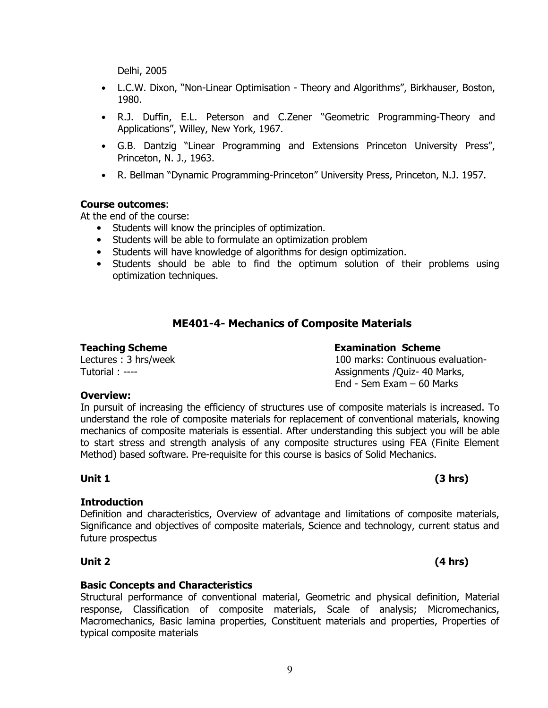Delhi, 2005

- L.C.W. Dixon, "Non-Linear Optimisation Theory and Algorithms", Birkhauser, Boston, 1980.
- R.J. Duffin, E.L. Peterson and C.Zener "Geometric Programming-Theory and Applications", Willey, New York, 1967.
- G.B. Dantzig "Linear Programming and Extensions Princeton University Press", Princeton, N. J., 1963.
- R. Bellman "Dynamic Programming-Princeton" University Press, Princeton, N.J. 1957.

#### **Course outcomes**:

At the end of the course:

- Students will know the principles of optimization.
- Students will be able to formulate an optimization problem
- Students will have knowledge of algorithms for design optimization.
- Students should be able to find the optimum solution of their problems using optimization techniques.

# **ME401-4- Mechanics of Composite Materials**

#### **Teaching Scheme Examination Scheme**

Lectures : 3 hrs/week Tutorial : ----

100 marks: Continuous evaluation-Assignments /Quiz- 40 Marks, End - Sem Exam – 60 Marks

#### **Overview:**

In pursuit of increasing the efficiency of structures use of composite materials is increased. To understand the role of composite materials for replacement of conventional materials, knowing mechanics of composite materials is essential. After understanding this subject you will be able to start stress and strength analysis of any composite structures using FEA (Finite Element Method) based software. Pre-requisite for this course is basics of Solid Mechanics.

### **Introduction**

Definition and characteristics, Overview of advantage and limitations of composite materials, Significance and objectives of composite materials, Science and technology, current status and future prospectus

#### **Basic Concepts and Characteristics**

Structural performance of conventional material, Geometric and physical definition, Material response, Classification of composite materials, Scale of analysis; Micromechanics, Macromechanics, Basic lamina properties, Constituent materials and properties, Properties of typical composite materials

### **Unit 1 (3 hrs)**

# **Unit 2 (4 hrs)**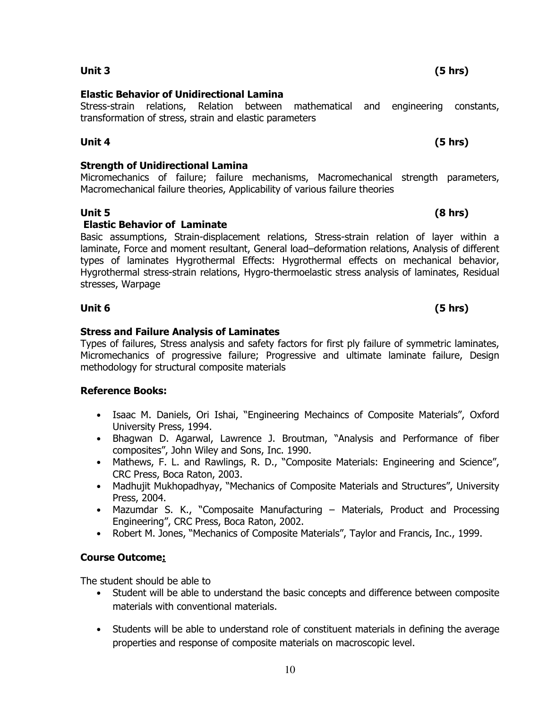### **Unit 3 (5 hrs)**

#### **Elastic Behavior of Unidirectional Lamina**

Stress-strain relations, Relation between mathematical and engineering constants, transformation of stress, strain and elastic parameters

### **Unit 4 (5 hrs)**

### **Strength of Unidirectional Lamina**

Micromechanics of failure; failure mechanisms, Macromechanical strength parameters, Macromechanical failure theories, Applicability of various failure theories

### **Unit 5 (8 hrs)**

### **Elastic Behavior of Laminate**

Basic assumptions, Strain-displacement relations, Stress-strain relation of layer within a laminate, Force and moment resultant, General load–deformation relations, Analysis of different types of laminates Hygrothermal Effects: Hygrothermal effects on mechanical behavior, Hygrothermal stress-strain relations, Hygro-thermoelastic stress analysis of laminates, Residual stresses, Warpage

### **Stress and Failure Analysis of Laminates**

Types of failures, Stress analysis and safety factors for first ply failure of symmetric laminates, Micromechanics of progressive failure; Progressive and ultimate laminate failure, Design methodology for structural composite materials

### **Reference Books:**

- Isaac M. Daniels, Ori Ishai, "Engineering Mechaincs of Composite Materials", Oxford University Press, 1994.
- Bhagwan D. Agarwal, Lawrence J. Broutman, "Analysis and Performance of fiber composites", John Wiley and Sons, Inc. 1990.
- Mathews, F. L. and Rawlings, R. D., "Composite Materials: Engineering and Science", CRC Press, Boca Raton, 2003.
- Madhujit Mukhopadhyay, "Mechanics of Composite Materials and Structures", University Press, 2004.
- Mazumdar S. K., "Composaite Manufacturing Materials, Product and Processing Engineering", CRC Press, Boca Raton, 2002.
- Robert M. Jones, "Mechanics of Composite Materials", Taylor and Francis, Inc., 1999.

### **Course Outcome:**

The student should be able to

- Student will be able to understand the basic concepts and difference between composite materials with conventional materials.
- Students will be able to understand role of constituent materials in defining the average properties and response of composite materials on macroscopic level.

# **Unit 6 (5 hrs)**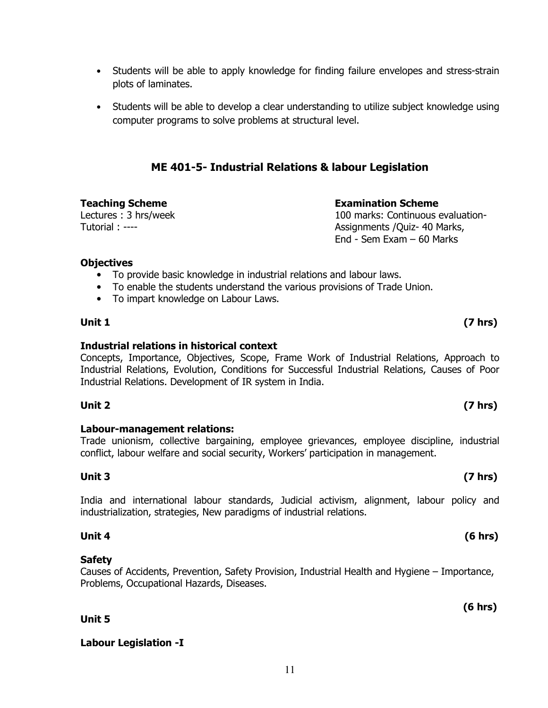- Students will be able to apply knowledge for finding failure envelopes and stress-strain plots of laminates.
- Students will be able to develop a clear understanding to utilize subject knowledge using computer programs to solve problems at structural level.

# **ME 401-5- Industrial Relations & labour Legislation**

**Teaching Scheme Examination Scheme** Lectures : 3 hrs/week Tutorial : ----

100 marks: Continuous evaluation-Assignments /Quiz- 40 Marks, End - Sem Exam – 60 Marks

#### **Objectives**

- To provide basic knowledge in industrial relations and labour laws.
- To enable the students understand the various provisions of Trade Union.
- To impart knowledge on Labour Laws.

### **Unit 1 (7 hrs)**

### **Industrial relations in historical context**

Concepts, Importance, Objectives, Scope, Frame Work of Industrial Relations, Approach to Industrial Relations, Evolution, Conditions for Successful Industrial Relations, Causes of Poor Industrial Relations. Development of IR system in India.

### **Unit 2 (7 hrs)**

### **Labour-management relations:**

Trade unionism, collective bargaining, employee grievances, employee discipline, industrial conflict, labour welfare and social security, Workers' participation in management.

### **Unit 3 (7 hrs)**

India and international labour standards, Judicial activism, alignment, labour policy and industrialization, strategies, New paradigms of industrial relations.

### **Safety**

Causes of Accidents, Prevention, Safety Provision, Industrial Health and Hygiene – Importance, Problems, Occupational Hazards, Diseases.

**Unit 5** 

### **Labour Legislation -I**

### **Unit 4 (6 hrs)**

### **(6 hrs)**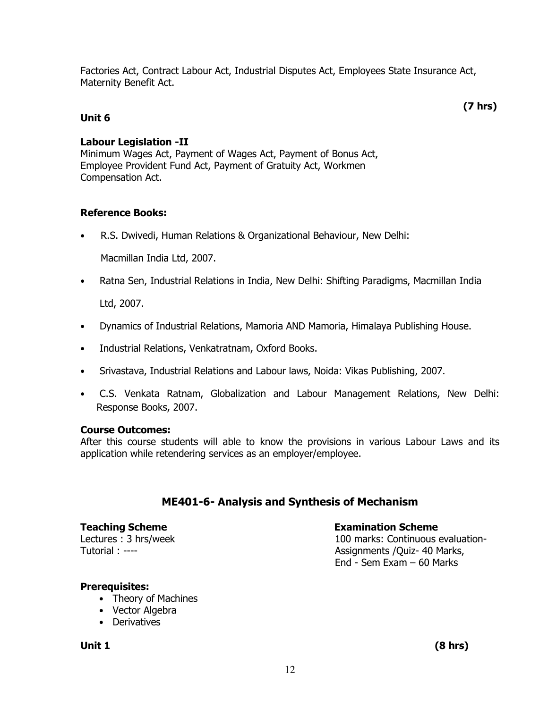Factories Act, Contract Labour Act, Industrial Disputes Act, Employees State Insurance Act, Maternity Benefit Act.

 **(7 hrs)** 

### **Unit 6**

### **Labour Legislation -II**

Minimum Wages Act, Payment of Wages Act, Payment of Bonus Act, Employee Provident Fund Act, Payment of Gratuity Act, Workmen Compensation Act.

### **Reference Books:**

• R.S. Dwivedi, Human Relations & Organizational Behaviour, New Delhi:

Macmillan India Ltd, 2007.

• Ratna Sen, Industrial Relations in India, New Delhi: Shifting Paradigms, Macmillan India Ltd, 2007.

• Dynamics of Industrial Relations, Mamoria AND Mamoria, Himalaya Publishing House.

- Industrial Relations, Venkatratnam, Oxford Books.
- Srivastava, Industrial Relations and Labour laws, Noida: Vikas Publishing, 2007.
- C.S. Venkata Ratnam, Globalization and Labour Management Relations, New Delhi: Response Books, 2007.

### **Course Outcomes:**

After this course students will able to know the provisions in various Labour Laws and its application while retendering services as an employer/employee.

# **ME401-6- Analysis and Synthesis of Mechanism**

Lectures : 3 hrs/week Tutorial : ----

### **Teaching Scheme Examination Scheme**

100 marks: Continuous evaluation-Assignments /Quiz- 40 Marks, End - Sem Exam – 60 Marks

### **Prerequisites:**

- Theory of Machines
- Vector Algebra
- Derivatives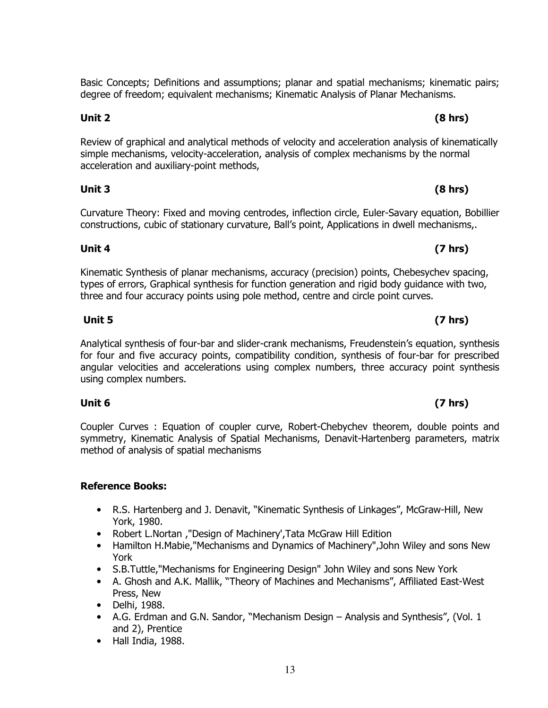Basic Concepts; Definitions and assumptions; planar and spatial mechanisms; kinematic pairs; degree of freedom; equivalent mechanisms; Kinematic Analysis of Planar Mechanisms.

**Unit 2 (8 hrs)** 

Review of graphical and analytical methods of velocity and acceleration analysis of kinematically simple mechanisms, velocity-acceleration, analysis of complex mechanisms by the normal acceleration and auxiliary-point methods,

Curvature Theory: Fixed and moving centrodes, inflection circle, Euler-Savary equation, Bobillier constructions, cubic of stationary curvature, Ball's point, Applications in dwell mechanisms,.

Kinematic Synthesis of planar mechanisms, accuracy (precision) points, Chebesychev spacing, types of errors, Graphical synthesis for function generation and rigid body guidance with two, three and four accuracy points using pole method, centre and circle point curves.

**Unit 4 (7 hrs)** 

Analytical synthesis of four-bar and slider-crank mechanisms, Freudenstein's equation, synthesis for four and five accuracy points, compatibility condition, synthesis of four-bar for prescribed angular velocities and accelerations using complex numbers, three accuracy point synthesis using complex numbers.

Coupler Curves : Equation of coupler curve, Robert-Chebychev theorem, double points and symmetry, Kinematic Analysis of Spatial Mechanisms, Denavit-Hartenberg parameters, matrix method of analysis of spatial mechanisms

### **Reference Books:**

- R.S. Hartenberg and J. Denavit, "Kinematic Synthesis of Linkages", McGraw-Hill, New York, 1980.
- Robert L.Nortan ,"Design of Machinery',Tata McGraw Hill Edition
- Hamilton H.Mabie,"Mechanisms and Dynamics of Machinery",John Wiley and sons New York
- S.B.Tuttle,"Mechanisms for Engineering Design" John Wiley and sons New York
- A. Ghosh and A.K. Mallik, "Theory of Machines and Mechanisms", Affiliated East-West Press, New
- Delhi, 1988.
- A.G. Erdman and G.N. Sandor, "Mechanism Design Analysis and Synthesis", (Vol. 1 and 2), Prentice
- Hall India, 1988.

# *Unit 5* **(7 hrs)**  *CONS* (7 hrs)

# **Unit 6 (7 hrs)**

# **Unit 3 (8 hrs)**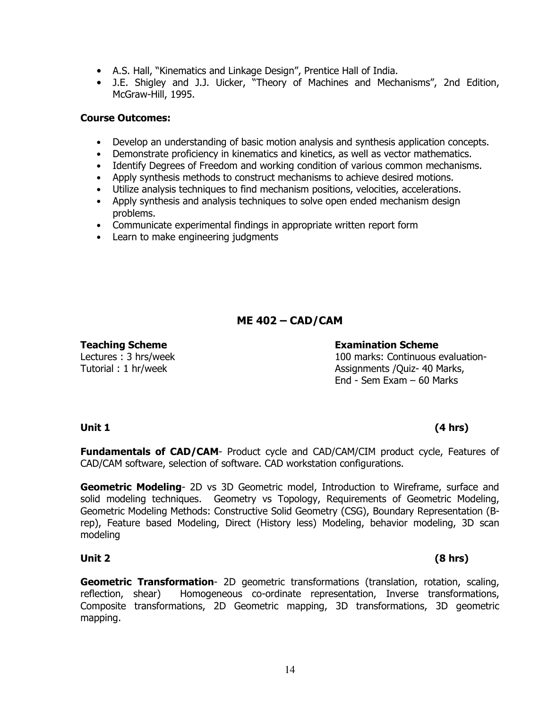- A.S. Hall, "Kinematics and Linkage Design", Prentice Hall of India.
- J.E. Shigley and J.J. Uicker, "Theory of Machines and Mechanisms", 2nd Edition, McGraw-Hill, 1995.

#### **Course Outcomes:**

- Develop an understanding of basic motion analysis and synthesis application concepts.
- Demonstrate proficiency in kinematics and kinetics, as well as vector mathematics.
- Identify Degrees of Freedom and working condition of various common mechanisms.
- Apply synthesis methods to construct mechanisms to achieve desired motions.
- Utilize analysis techniques to find mechanism positions, velocities, accelerations.
- Apply synthesis and analysis techniques to solve open ended mechanism design problems.
- Communicate experimental findings in appropriate written report form
- Learn to make engineering judgments

# **ME 402 – CAD/CAM**

Lectures : 3 hrs/week Tutorial : 1 hr/week

#### **Teaching Scheme Examination Scheme**

100 marks: Continuous evaluation-Assignments /Quiz- 40 Marks, End - Sem Exam – 60 Marks

# **Unit 1 (4 hrs)**

**Fundamentals of CAD/CAM**- Product cycle and CAD/CAM/CIM product cycle, Features of CAD/CAM software, selection of software. CAD workstation configurations.

**Geometric Modeling**- 2D vs 3D Geometric model, Introduction to Wireframe, surface and solid modeling techniques. Geometry vs Topology, Requirements of Geometric Modeling, Geometric Modeling Methods: Constructive Solid Geometry (CSG), Boundary Representation (Brep), Feature based Modeling, Direct (History less) Modeling, behavior modeling, 3D scan modeling

### **Unit 2 (8 hrs)**

**Geometric Transformation**- 2D geometric transformations (translation, rotation, scaling, reflection, shear) Homogeneous co-ordinate representation, Inverse transformations, Composite transformations, 2D Geometric mapping, 3D transformations, 3D geometric mapping.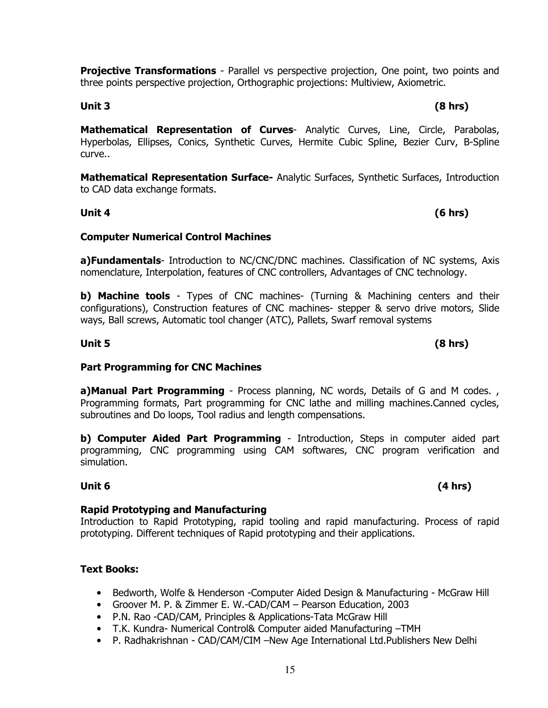**Projective Transformations** - Parallel vs perspective projection, One point, two points and three points perspective projection, Orthographic projections: Multiview, Axiometric.

**Mathematical Representation of Curves**- Analytic Curves, Line, Circle, Parabolas, Hyperbolas, Ellipses, Conics, Synthetic Curves, Hermite Cubic Spline, Bezier Curv, B-Spline curve..

**Mathematical Representation Surface-** Analytic Surfaces, Synthetic Surfaces, Introduction to CAD data exchange formats.

### **Unit 4 (6 hrs)**

### **Computer Numerical Control Machines**

**a)Fundamentals**- Introduction to NC/CNC/DNC machines. Classification of NC systems, Axis nomenclature, Interpolation, features of CNC controllers, Advantages of CNC technology.

**b) Machine tools** - Types of CNC machines- (Turning & Machining centers and their configurations), Construction features of CNC machines- stepper & servo drive motors, Slide ways, Ball screws, Automatic tool changer (ATC), Pallets, Swarf removal systems

### **Part Programming for CNC Machines**

**a)Manual Part Programming** - Process planning, NC words, Details of G and M codes., Programming formats, Part programming for CNC lathe and milling machines.Canned cycles, subroutines and Do loops, Tool radius and length compensations.

**b) Computer Aided Part Programming** - Introduction, Steps in computer aided part programming, CNC programming using CAM softwares, CNC program verification and simulation.

### **Unit 6 (4 hrs)**

### **Rapid Prototyping and Manufacturing**

Introduction to Rapid Prototyping, rapid tooling and rapid manufacturing. Process of rapid prototyping. Different techniques of Rapid prototyping and their applications.

### **Text Books:**

- Bedworth, Wolfe & Henderson -Computer Aided Design & Manufacturing McGraw Hill
- Groover M. P. & Zimmer E. W.-CAD/CAM Pearson Education, 2003
- P.N. Rao -CAD/CAM, Principles & Applications-Tata McGraw Hill
- T.K. Kundra- Numerical Control& Computer aided Manufacturing –TMH
- P. Radhakrishnan CAD/CAM/CIM –New Age International Ltd.Publishers New Delhi

## **Unit 3 (8 hrs)**

**Unit 5 (8 hrs)**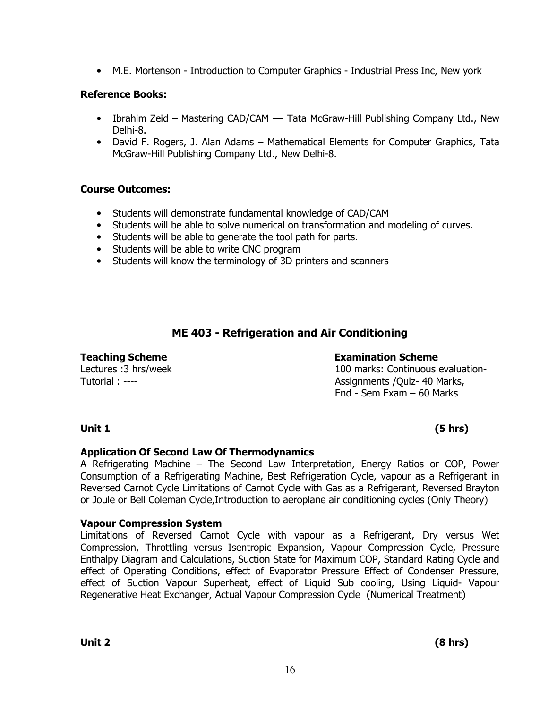• M.E. Mortenson - Introduction to Computer Graphics - Industrial Press Inc, New york

### **Reference Books:**

- Ibrahim Zeid Mastering CAD/CAM Tata McGraw-Hill Publishing Company Ltd., New Delhi-8.
- David F. Rogers, J. Alan Adams Mathematical Elements for Computer Graphics, Tata McGraw-Hill Publishing Company Ltd., New Delhi-8.

### **Course Outcomes:**

- Students will demonstrate fundamental knowledge of CAD/CAM
- Students will be able to solve numerical on transformation and modeling of curves.
- Students will be able to generate the tool path for parts.
- Students will be able to write CNC program
- Students will know the terminology of 3D printers and scanners

# **ME 403 - Refrigeration and Air Conditioning**

Lectures :3 hrs/week Tutorial : ----

### **Teaching Scheme Examination Scheme**

100 marks: Continuous evaluation-Assignments /Quiz- 40 Marks, End - Sem Exam – 60 Marks

# **Unit 1 (5 hrs)**

### **Application Of Second Law Of Thermodynamics**

A Refrigerating Machine – The Second Law Interpretation, Energy Ratios or COP, Power Consumption of a Refrigerating Machine, Best Refrigeration Cycle, vapour as a Refrigerant in Reversed Carnot Cycle Limitations of Carnot Cycle with Gas as a Refrigerant, Reversed Brayton or Joule or Bell Coleman Cycle,Introduction to aeroplane air conditioning cycles (Only Theory)

### **Vapour Compression System**

Limitations of Reversed Carnot Cycle with vapour as a Refrigerant, Dry versus Wet Compression, Throttling versus Isentropic Expansion, Vapour Compression Cycle, Pressure Enthalpy Diagram and Calculations, Suction State for Maximum COP, Standard Rating Cycle and effect of Operating Conditions, effect of Evaporator Pressure Effect of Condenser Pressure, effect of Suction Vapour Superheat, effect of Liquid Sub cooling, Using Liquid- Vapour Regenerative Heat Exchanger, Actual Vapour Compression Cycle (Numerical Treatment)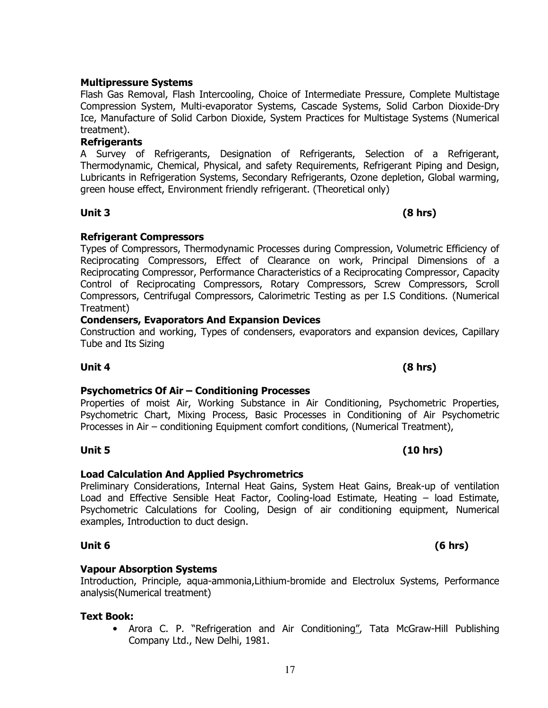### **Multipressure Systems**

Flash Gas Removal, Flash Intercooling, Choice of Intermediate Pressure, Complete Multistage Compression System, Multi-evaporator Systems, Cascade Systems, Solid Carbon Dioxide-Dry Ice, Manufacture of Solid Carbon Dioxide, System Practices for Multistage Systems (Numerical treatment).

#### **Refrigerants**

A Survey of Refrigerants, Designation of Refrigerants, Selection of a Refrigerant, Thermodynamic, Chemical, Physical, and safety Requirements, Refrigerant Piping and Design, Lubricants in Refrigeration Systems, Secondary Refrigerants, Ozone depletion, Global warming, green house effect, Environment friendly refrigerant. (Theoretical only)

### **Refrigerant Compressors**

Types of Compressors, Thermodynamic Processes during Compression, Volumetric Efficiency of Reciprocating Compressors, Effect of Clearance on work, Principal Dimensions of a Reciprocating Compressor, Performance Characteristics of a Reciprocating Compressor, Capacity Control of Reciprocating Compressors, Rotary Compressors, Screw Compressors, Scroll Compressors, Centrifugal Compressors, Calorimetric Testing as per I.S Conditions. (Numerical Treatment)

### **Condensers, Evaporators And Expansion Devices**

Construction and working, Types of condensers, evaporators and expansion devices, Capillary Tube and Its Sizing

### **Unit 4 (8 hrs)**

### **Psychometrics Of Air – Conditioning Processes**

Properties of moist Air, Working Substance in Air Conditioning, Psychometric Properties, Psychometric Chart, Mixing Process, Basic Processes in Conditioning of Air Psychometric Processes in Air – conditioning Equipment comfort conditions, (Numerical Treatment),

**Load Calculation And Applied Psychrometrics**  Preliminary Considerations, Internal Heat Gains, System Heat Gains, Break-up of ventilation

**Unit 5 (10 hrs)** 

Load and Effective Sensible Heat Factor, Cooling-load Estimate, Heating – load Estimate, Psychometric Calculations for Cooling, Design of air conditioning equipment, Numerical examples, Introduction to duct design.

#### **Unit 6 (6 hrs)**

#### **Vapour Absorption Systems**

Introduction, Principle, aqua-ammonia,Lithium-bromide and Electrolux Systems, Performance analysis(Numerical treatment)

#### **Text Book:**

• Arora C. P. "Refrigeration and Air Conditioning", Tata McGraw-Hill Publishing Company Ltd., New Delhi, 1981.

# **Unit 3 (8 hrs)**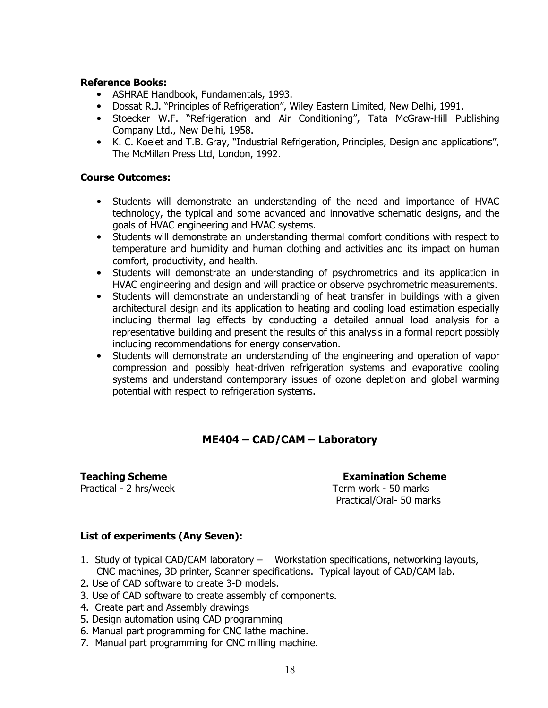#### **Reference Books:**

- ASHRAE Handbook, Fundamentals, 1993.
- Dossat R.J. "Principles of Refrigeration", Wiley Eastern Limited, New Delhi, 1991.
- Stoecker W.F. "Refrigeration and Air Conditioning", Tata McGraw-Hill Publishing Company Ltd., New Delhi, 1958.
- K. C. Koelet and T.B. Gray, "Industrial Refrigeration, Principles, Design and applications", The McMillan Press Ltd, London, 1992.

#### **Course Outcomes:**

- Students will demonstrate an understanding of the need and importance of HVAC technology, the typical and some advanced and innovative schematic designs, and the goals of HVAC engineering and HVAC systems.
- Students will demonstrate an understanding thermal comfort conditions with respect to temperature and humidity and human clothing and activities and its impact on human comfort, productivity, and health.
- Students will demonstrate an understanding of psychrometrics and its application in HVAC engineering and design and will practice or observe psychrometric measurements.
- Students will demonstrate an understanding of heat transfer in buildings with a given architectural design and its application to heating and cooling load estimation especially including thermal lag effects by conducting a detailed annual load analysis for a representative building and present the results of this analysis in a formal report possibly including recommendations for energy conservation.
- Students will demonstrate an understanding of the engineering and operation of vapor compression and possibly heat-driven refrigeration systems and evaporative cooling systems and understand contemporary issues of ozone depletion and global warming potential with respect to refrigeration systems.

# **ME404 – CAD/CAM – Laboratory**

**Teaching Scheme Examination Scheme** 

Practical - 2 hrs/week Term work - 50 marks Practical/Oral- 50 marks

### **List of experiments (Any Seven):**

- 1. Study of typical CAD/CAM laboratory Workstation specifications, networking layouts, CNC machines, 3D printer, Scanner specifications. Typical layout of CAD/CAM lab.
- 2. Use of CAD software to create 3-D models.
- 3. Use of CAD software to create assembly of components.
- 4. Create part and Assembly drawings
- 5. Design automation using CAD programming
- 6. Manual part programming for CNC lathe machine.
- 7. Manual part programming for CNC milling machine.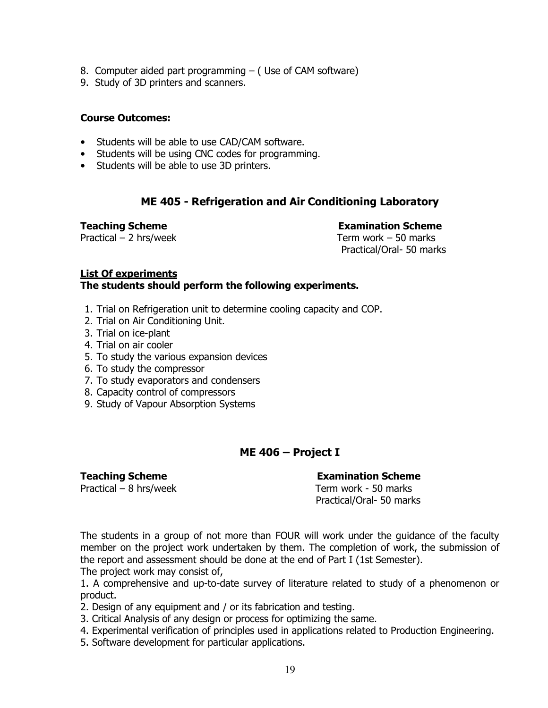- 8. Computer aided part programming ( Use of CAM software)
- 9. Study of 3D printers and scanners.

#### **Course Outcomes:**

- Students will be able to use CAD/CAM software.
- Students will be using CNC codes for programming.
- Students will be able to use 3D printers.

### **ME 405 - Refrigeration and Air Conditioning Laboratory**

Practical – 2 hrs/week Term work – 50 marks

**Teaching Scheme Examination Scheme** 

Practical/Oral- 50 marks

#### **List Of experiments The students should perform the following experiments.**

- 1. Trial on Refrigeration unit to determine cooling capacity and COP.
- 2. Trial on Air Conditioning Unit.
- 3. Trial on ice-plant
- 4. Trial on air cooler
- 5. To study the various expansion devices
- 6. To study the compressor
- 7. To study evaporators and condensers
- 8. Capacity control of compressors
- 9. Study of Vapour Absorption Systems

### **ME 406 – Project I**

#### **Teaching Scheme Examination Scheme**

Practical – 8 hrs/week Term work - 50 marks Practical/Oral- 50 marks

The students in a group of not more than FOUR will work under the guidance of the faculty member on the project work undertaken by them. The completion of work, the submission of the report and assessment should be done at the end of Part I (1st Semester). The project work may consist of,

1. A comprehensive and up-to-date survey of literature related to study of a phenomenon or product.

2. Design of any equipment and / or its fabrication and testing.

- 3. Critical Analysis of any design or process for optimizing the same.
- 4. Experimental verification of principles used in applications related to Production Engineering.
- 5. Software development for particular applications.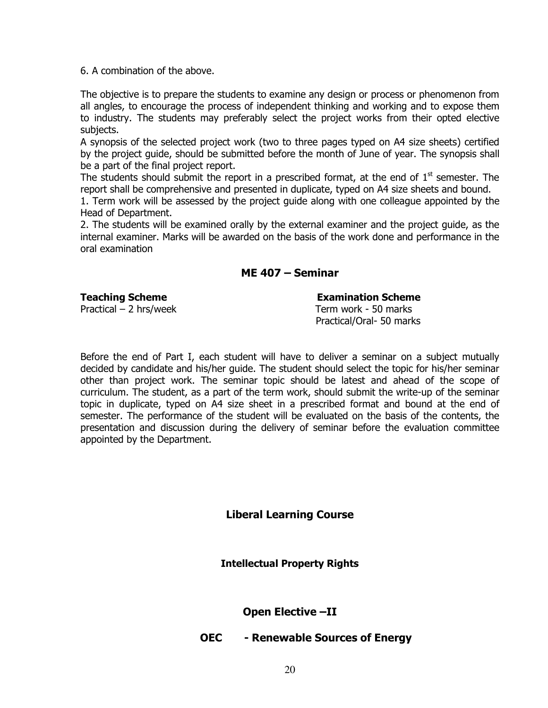6. A combination of the above.

The objective is to prepare the students to examine any design or process or phenomenon from all angles, to encourage the process of independent thinking and working and to expose them to industry. The students may preferably select the project works from their opted elective subjects.

A synopsis of the selected project work (two to three pages typed on A4 size sheets) certified by the project guide, should be submitted before the month of June of year. The synopsis shall be a part of the final project report.

The students should submit the report in a prescribed format, at the end of  $1<sup>st</sup>$  semester. The report shall be comprehensive and presented in duplicate, typed on A4 size sheets and bound.

1. Term work will be assessed by the project guide along with one colleague appointed by the Head of Department.

2. The students will be examined orally by the external examiner and the project guide, as the internal examiner. Marks will be awarded on the basis of the work done and performance in the oral examination

### **ME 407 – Seminar**

**Teaching Scheme**  Examination Scheme **Examination** 

Practical – 2 hrs/week Term work - 50 marks

Practical/Oral- 50 marks

Before the end of Part I, each student will have to deliver a seminar on a subject mutually decided by candidate and his/her guide. The student should select the topic for his/her seminar other than project work. The seminar topic should be latest and ahead of the scope of curriculum. The student, as a part of the term work, should submit the write-up of the seminar topic in duplicate, typed on A4 size sheet in a prescribed format and bound at the end of semester. The performance of the student will be evaluated on the basis of the contents, the presentation and discussion during the delivery of seminar before the evaluation committee appointed by the Department.

**Liberal Learning Course**

**Intellectual Property Rights** 

**Open Elective –II** 

**OEC - Renewable Sources of Energy**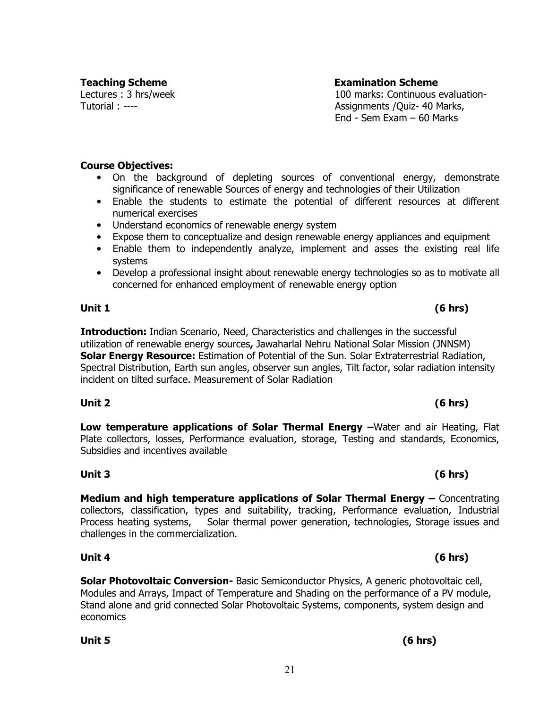Lectures : 3 hrs/week Tutorial : ----

#### **Course Objectives:**

- On the background of depleting sources of conventional energy, demonstrate significance of renewable Sources of energy and technologies of their Utilization
- Enable the students to estimate the potential of different resources at different numerical exercises
- Understand economics of renewable energy system
- Expose them to conceptualize and design renewable energy appliances and equipment
- Enable them to independently analyze, implement and asses the existing real life systems
- Develop a professional insight about renewable energy technologies so as to motivate all concerned for enhanced employment of renewable energy option

#### **Unit 1 (6 hrs)**

**Introduction:** Indian Scenario, Need, Characteristics and challenges in the successful utilization of renewable energy sources**,** Jawaharlal Nehru National Solar Mission (JNNSM) **Solar Energy Resource:** Estimation of Potential of the Sun. Solar Extraterrestrial Radiation, Spectral Distribution, Earth sun angles, observer sun angles, Tilt factor, solar radiation intensity incident on tilted surface. Measurement of Solar Radiation

**Low temperature applications of Solar Thermal Energy –**Water and air Heating, Flat Plate collectors, losses, Performance evaluation, storage, Testing and standards, Economics, Subsidies and incentives available

**Medium and high temperature applications of Solar Thermal Energy –** Concentrating collectors, classification, types and suitability, tracking, Performance evaluation, Industrial Process heating systems, Solar thermal power generation, technologies, Storage issues and challenges in the commercialization.

**Solar Photovoltaic Conversion-** Basic Semiconductor Physics, A generic photovoltaic cell, Modules and Arrays, Impact of Temperature and Shading on the performance of a PV module, Stand alone and grid connected Solar Photovoltaic Systems, components, system design and economics

# **Unit 2 (6 hrs)**

# **Unit 3 (6 hrs)**

# **Unit 4 (6 hrs)**

# **Unit 5 (6 hrs)**

### **Teaching Scheme Examination Scheme**

100 marks: Continuous evaluation-Assignments /Quiz- 40 Marks, End - Sem Exam – 60 Marks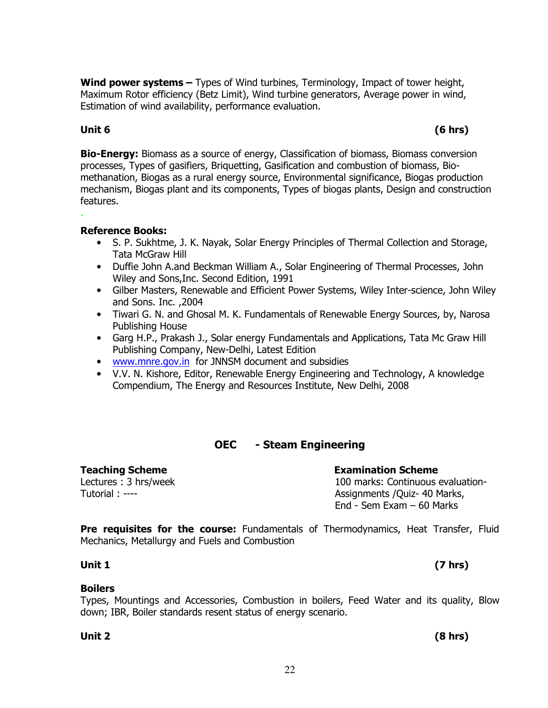**Wind power systems –** Types of Wind turbines, Terminology, Impact of tower height, Maximum Rotor efficiency (Betz Limit), Wind turbine generators, Average power in wind, Estimation of wind availability, performance evaluation.

.

**Bio-Energy:** Biomass as a source of energy, Classification of biomass, Biomass conversion processes, Types of gasifiers, Briquetting, Gasification and combustion of biomass, Biomethanation, Biogas as a rural energy source, Environmental significance, Biogas production mechanism, Biogas plant and its components, Types of biogas plants, Design and construction features.

#### **Reference Books:**

- S. P. Sukhtme, J. K. Nayak, Solar Energy Principles of Thermal Collection and Storage, Tata McGraw Hill
- Duffie John A.and Beckman William A., Solar Engineering of Thermal Processes, John Wiley and Sons,Inc. Second Edition, 1991
- Gilber Masters, Renewable and Efficient Power Systems, Wiley Inter-science, John Wiley and Sons. Inc. ,2004
- Tiwari G. N. and Ghosal M. K. Fundamentals of Renewable Energy Sources, by, Narosa Publishing House
- Garg H.P., Prakash J., Solar energy Fundamentals and Applications, Tata Mc Graw Hill Publishing Company, New-Delhi, Latest Edition
- www.mnre.gov.in for JNNSM document and subsidies
- V.V. N. Kishore, Editor, Renewable Energy Engineering and Technology, A knowledge Compendium, The Energy and Resources Institute, New Delhi, 2008

### **OEC - Steam Engineering**

# **Teaching Scheme Examination Scheme**

Lectures : 3 hrs/week Tutorial : ----

100 marks: Continuous evaluation-Assignments /Quiz- 40 Marks, End - Sem Exam – 60 Marks

**Pre requisites for the course:** Fundamentals of Thermodynamics, Heat Transfer, Fluid Mechanics, Metallurgy and Fuels and Combustion

#### **Unit 1 (7 hrs)**

### **Boilers**

Types, Mountings and Accessories, Combustion in boilers, Feed Water and its quality, Blow down; IBR, Boiler standards resent status of energy scenario.

#### **Unit 2 (8 hrs)**

## **Unit 6 (6 hrs)**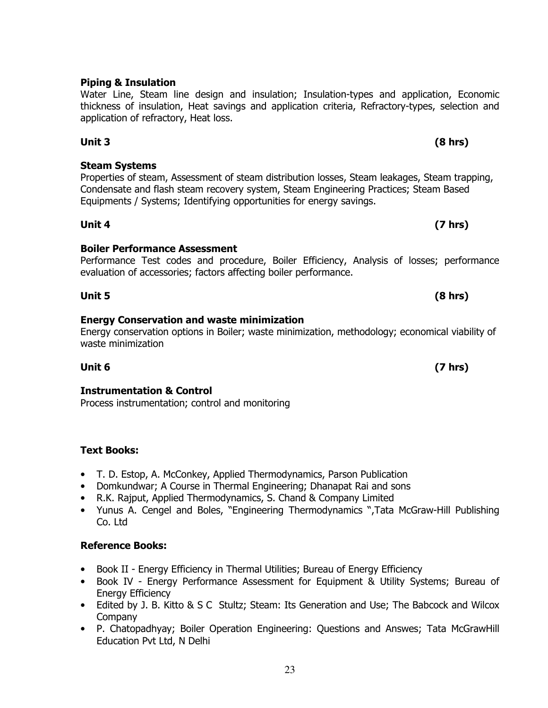### **Piping & Insulation**

#### Water Line, Steam line design and insulation; Insulation-types and application, Economic thickness of insulation, Heat savings and application criteria, Refractory-types, selection and application of refractory, Heat loss.

# **Unit 3 (8 hrs)**

**Steam Systems**  Properties of steam, Assessment of steam distribution losses, Steam leakages, Steam trapping, Condensate and flash steam recovery system, Steam Engineering Practices; Steam Based Equipments / Systems; Identifying opportunities for energy savings.

**Boiler Performance Assessment**  Performance Test codes and procedure, Boiler Efficiency, Analysis of losses; performance evaluation of accessories; factors affecting boiler performance.

**Unit 4 (7 hrs)** 

**Unit 5 (8 hrs) Energy Conservation and waste minimization** 

Energy conservation options in Boiler; waste minimization, methodology; economical viability of waste minimization

#### **Unit 6 (7 hrs)**

### **Instrumentation & Control**

Process instrumentation; control and monitoring

### **Text Books:**

- T. D. Estop, A. McConkey, Applied Thermodynamics, Parson Publication
- Domkundwar; A Course in Thermal Engineering; Dhanapat Rai and sons
- R.K. Rajput, Applied Thermodynamics, S. Chand & Company Limited
- Yunus A. Cengel and Boles, "Engineering Thermodynamics ",Tata McGraw-Hill Publishing Co. Ltd

### **Reference Books:**

- Book II Energy Efficiency in Thermal Utilities; Bureau of Energy Efficiency
- Book IV Energy Performance Assessment for Equipment & Utility Systems; Bureau of Energy Efficiency
- Edited by J. B. Kitto & S C Stultz; Steam: Its Generation and Use; The Babcock and Wilcox Company
- P. Chatopadhyay; Boiler Operation Engineering: Questions and Answes; Tata McGrawHill Education Pvt Ltd, N Delhi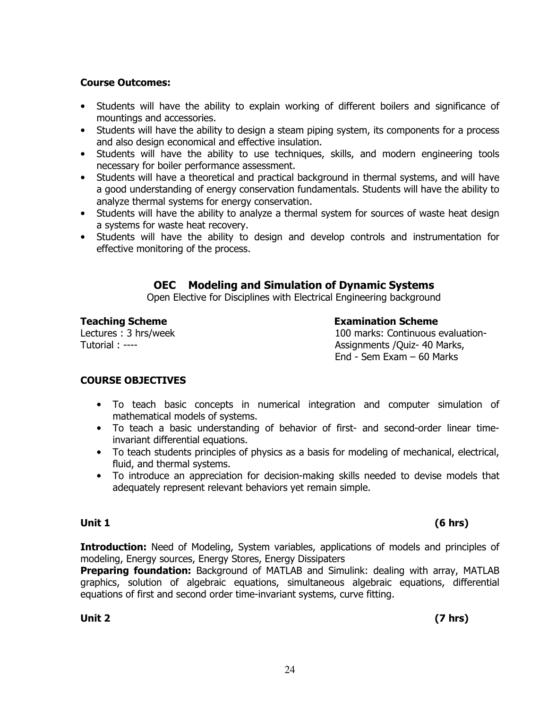## **Course Outcomes:**

- Students will have the ability to explain working of different boilers and significance of mountings and accessories.
- Students will have the ability to design a steam piping system, its components for a process and also design economical and effective insulation.
- Students will have the ability to use techniques, skills, and modern engineering tools necessary for boiler performance assessment.
- Students will have a theoretical and practical background in thermal systems, and will have a good understanding of energy conservation fundamentals. Students will have the ability to analyze thermal systems for energy conservation.
- Students will have the ability to analyze a thermal system for sources of waste heat design a systems for waste heat recovery.
- Students will have the ability to design and develop controls and instrumentation for effective monitoring of the process.

# **OEC Modeling and Simulation of Dynamic Systems**

Open Elective for Disciplines with Electrical Engineering background

**Teaching Scheme Examination Scheme** Lectures : 3 hrs/week Tutorial : ----

100 marks: Continuous evaluation-Assignments /Quiz- 40 Marks, End - Sem Exam – 60 Marks

### **COURSE OBJECTIVES**

- To teach basic concepts in numerical integration and computer simulation of mathematical models of systems.
- To teach a basic understanding of behavior of first- and second-order linear timeinvariant differential equations.
- To teach students principles of physics as a basis for modeling of mechanical, electrical, fluid, and thermal systems.
- To introduce an appreciation for decision-making skills needed to devise models that adequately represent relevant behaviors yet remain simple.

**Introduction:** Need of Modeling, System variables, applications of models and principles of modeling, Energy sources, Energy Stores, Energy Dissipaters

**Preparing foundation:** Background of MATLAB and Simulink: dealing with array, MATLAB graphics, solution of algebraic equations, simultaneous algebraic equations, differential equations of first and second order time-invariant systems, curve fitting.

24

# **Unit 1 (6 hrs)**

**Unit 2 (7 hrs)**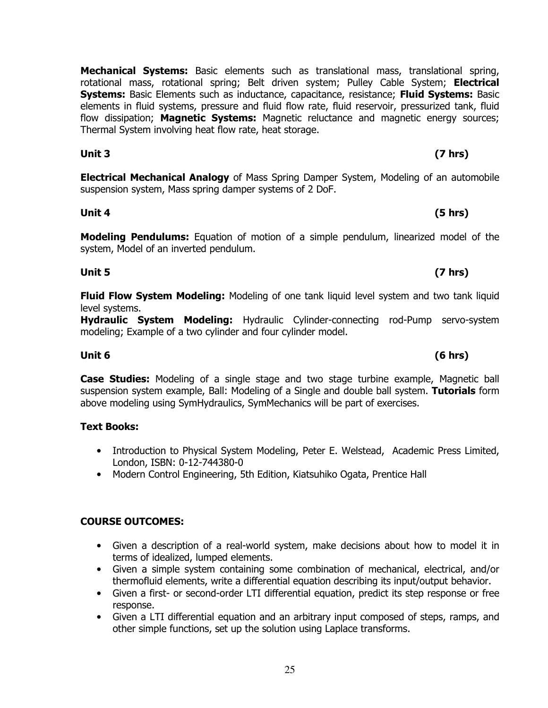**Mechanical Systems:** Basic elements such as translational mass, translational spring, rotational mass, rotational spring; Belt driven system; Pulley Cable System; **Electrical Systems:** Basic Elements such as inductance, capacitance, resistance; **Fluid Systems:** Basic elements in fluid systems, pressure and fluid flow rate, fluid reservoir, pressurized tank, fluid flow dissipation; **Magnetic Systems:** Magnetic reluctance and magnetic energy sources; Thermal System involving heat flow rate, heat storage.

**Electrical Mechanical Analogy** of Mass Spring Damper System, Modeling of an automobile suspension system, Mass spring damper systems of 2 DoF.

**Unit 4 (5 hrs)** 

**Modeling Pendulums:** Equation of motion of a simple pendulum, linearized model of the system, Model of an inverted pendulum.

**Fluid Flow System Modeling:** Modeling of one tank liquid level system and two tank liquid level systems.

**Hydraulic System Modeling:** Hydraulic Cylinder-connecting rod-Pump servo-system modeling; Example of a two cylinder and four cylinder model.

**Case Studies:** Modeling of a single stage and two stage turbine example, Magnetic ball suspension system example, Ball: Modeling of a Single and double ball system. **Tutorials** form above modeling using SymHydraulics, SymMechanics will be part of exercises.

### **Text Books:**

- Introduction to Physical System Modeling, Peter E. Welstead, Academic Press Limited, London, ISBN: 0-12-744380-0
- Modern Control Engineering, 5th Edition, Kiatsuhiko Ogata, Prentice Hall

### **COURSE OUTCOMES:**

- Given a description of a real-world system, make decisions about how to model it in terms of idealized, lumped elements.
- Given a simple system containing some combination of mechanical, electrical, and/or thermofluid elements, write a differential equation describing its input/output behavior.
- Given a first- or second-order LTI differential equation, predict its step response or free response.
- Given a LTI differential equation and an arbitrary input composed of steps, ramps, and other simple functions, set up the solution using Laplace transforms.

### **Unit 5 (7 hrs)**

## **Unit 6 (6 hrs)**

# **Unit 3 (7 hrs)**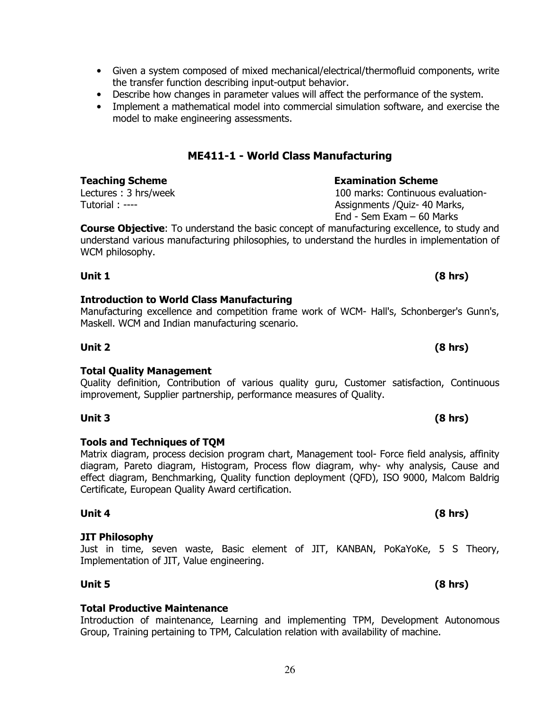- Given a system composed of mixed mechanical/electrical/thermofluid components, write the transfer function describing input-output behavior.
- Describe how changes in parameter values will affect the performance of the system.
- Implement a mathematical model into commercial simulation software, and exercise the model to make engineering assessments.

## **ME411-1 - World Class Manufacturing**

### **Teaching Scheme Examination Scheme**

Lectures : 3 hrs/week Tutorial : ----

**Course Objective**: To understand the basic concept of manufacturing excellence, to study and understand various manufacturing philosophies, to understand the hurdles in implementation of WCM philosophy.

**Unit 1 (8 hrs)** 

### **Introduction to World Class Manufacturing**

Certificate, European Quality Award certification.

### Manufacturing excellence and competition frame work of WCM- Hall's, Schonberger's Gunn's, Maskell. WCM and Indian manufacturing scenario.

**Total Quality Management** 

**Tools and Techniques of TQM** effect diagram, Benchmarking, Quality function deployment (QFD), ISO 9000, Malcom Baldrig

Implementation of JIT, Value engineering. **Unit 5 (8 hrs)** 

**Total Productive Maintenance** Introduction of maintenance, Learning and implementing TPM, Development Autonomous Group, Training pertaining to TPM, Calculation relation with availability of machine.

Quality definition, Contribution of various quality guru, Customer satisfaction, Continuous improvement, Supplier partnership, performance measures of Quality.

**Unit 3 (8 hrs)** 

**Unit 4 (8 hrs)** 

Matrix diagram, process decision program chart, Management tool- Force field analysis, affinity diagram, Pareto diagram, Histogram, Process flow diagram, why- why analysis, Cause and

**JIT Philosophy** Just in time, seven waste, Basic element of JIT, KANBAN, PoKaYoKe, 5 S Theory,

**Unit 2 (8 hrs)** 

100 marks: Continuous evaluation-Assignments /Quiz- 40 Marks,

End - Sem Exam – 60 Marks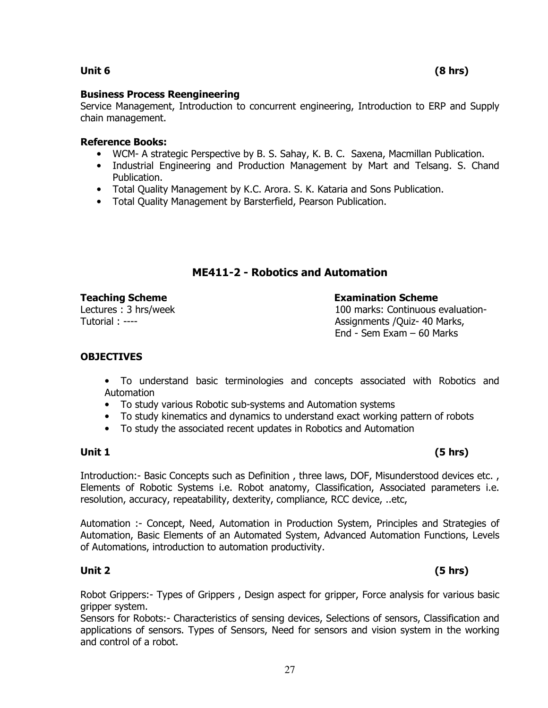### **Unit 6 (8 hrs)**

#### **Business Process Reengineering**

Service Management, Introduction to concurrent engineering, Introduction to ERP and Supply chain management.

#### **Reference Books:**

- WCM- A strategic Perspective by B. S. Sahay, K. B. C. Saxena, Macmillan Publication.
- Industrial Engineering and Production Management by Mart and Telsang. S. Chand Publication.
- Total Quality Management by K.C. Arora. S. K. Kataria and Sons Publication.
- Total Quality Management by Barsterfield, Pearson Publication.

### **ME411-2 - Robotics and Automation**

**Teaching Scheme Examination Scheme** 

### Lectures : 3 hrs/week Tutorial : ----

100 marks: Continuous evaluation-Assignments /Quiz- 40 Marks, End - Sem Exam – 60 Marks

### **OBJECTIVES**

- To understand basic terminologies and concepts associated with Robotics and Automation
- To study various Robotic sub-systems and Automation systems
- To study kinematics and dynamics to understand exact working pattern of robots
- To study the associated recent updates in Robotics and Automation

#### Introduction:- Basic Concepts such as Definition, three laws, DOF, Misunderstood devices etc., Elements of Robotic Systems i.e. Robot anatomy, Classification, Associated parameters i.e. resolution, accuracy, repeatability, dexterity, compliance, RCC device, ..etc,

Automation :- Concept, Need, Automation in Production System, Principles and Strategies of Automation, Basic Elements of an Automated System, Advanced Automation Functions, Levels of Automations, introduction to automation productivity.

Robot Grippers:- Types of Grippers , Design aspect for gripper, Force analysis for various basic gripper system.

Sensors for Robots:- Characteristics of sensing devices, Selections of sensors, Classification and applications of sensors. Types of Sensors, Need for sensors and vision system in the working and control of a robot.

### **Unit 1 (5 hrs)**

### **Unit 2 (5 hrs)**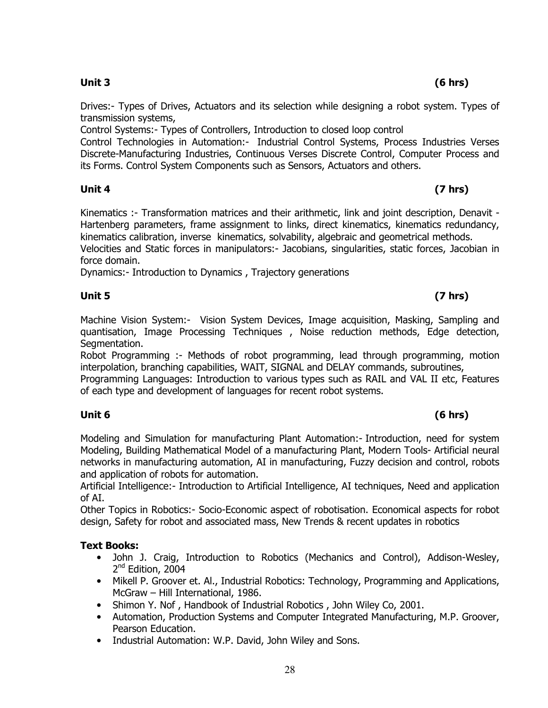Drives:- Types of Drives, Actuators and its selection while designing a robot system. Types of transmission systems,

Control Systems:- Types of Controllers, Introduction to closed loop control

Control Technologies in Automation:- Industrial Control Systems, Process Industries Verses Discrete-Manufacturing Industries, Continuous Verses Discrete Control, Computer Process and its Forms. Control System Components such as Sensors, Actuators and others.

### **Unit 4 (7 hrs)**

Kinematics :- Transformation matrices and their arithmetic, link and joint description, Denavit - Hartenberg parameters, frame assignment to links, direct kinematics, kinematics redundancy, kinematics calibration, inverse kinematics, solvability, algebraic and geometrical methods.

Velocities and Static forces in manipulators:- Jacobians, singularities, static forces, Jacobian in force domain.

Dynamics:- Introduction to Dynamics , Trajectory generations

#### **Unit 5 (7 hrs)**

Machine Vision System:- Vision System Devices, Image acquisition, Masking, Sampling and quantisation, Image Processing Techniques , Noise reduction methods, Edge detection, Segmentation.

Robot Programming :- Methods of robot programming, lead through programming, motion interpolation, branching capabilities, WAIT, SIGNAL and DELAY commands, subroutines,

Programming Languages: Introduction to various types such as RAIL and VAL II etc, Features of each type and development of languages for recent robot systems.

### **Unit 6 (6 hrs)**

Modeling and Simulation for manufacturing Plant Automation:- Introduction, need for system Modeling, Building Mathematical Model of a manufacturing Plant, Modern Tools- Artificial neural networks in manufacturing automation, AI in manufacturing, Fuzzy decision and control, robots and application of robots for automation.

Artificial Intelligence:- Introduction to Artificial Intelligence, AI techniques, Need and application of AI.

Other Topics in Robotics:- Socio-Economic aspect of robotisation. Economical aspects for robot design, Safety for robot and associated mass, New Trends & recent updates in robotics

### **Text Books:**

- John J. Craig, Introduction to Robotics (Mechanics and Control), Addison-Wesley, 2<sup>nd</sup> Edition, 2004
- Mikell P. Groover et. Al., Industrial Robotics: Technology, Programming and Applications, McGraw – Hill International, 1986.
- Shimon Y. Nof , Handbook of Industrial Robotics , John Wiley Co, 2001.
- Automation, Production Systems and Computer Integrated Manufacturing, M.P. Groover, Pearson Education.
- Industrial Automation: W.P. David, John Wiley and Sons.

### **Unit 3 (6 hrs)**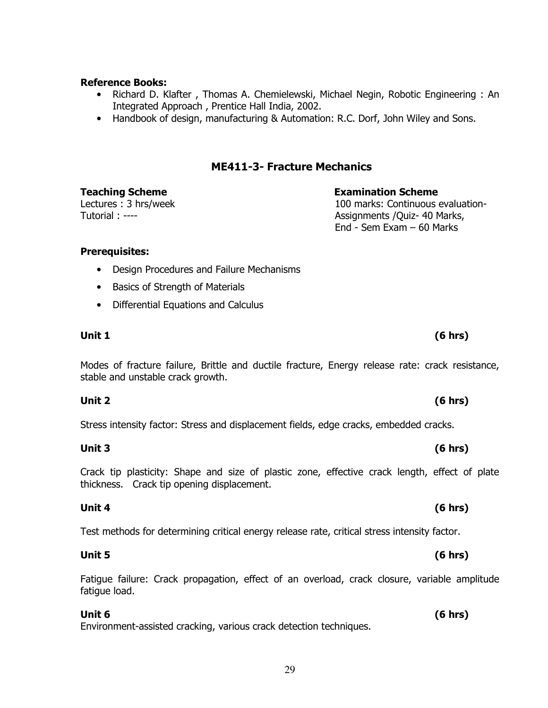### **Reference Books:**

- Richard D. Klafter , Thomas A. Chemielewski, Michael Negin, Robotic Engineering : An Integrated Approach , Prentice Hall India, 2002.
- Handbook of design, manufacturing & Automation: R.C. Dorf, John Wiley and Sons.

# **ME411-3- Fracture Mechanics**

**Teaching Scheme Examination Scheme** 100 marks: Continuous evaluation-Assignments /Quiz- 40 Marks, End - Sem Exam – 60 Marks

#### **Prerequisites:**

Tutorial : ----

Lectures : 3 hrs/week

- Design Procedures and Failure Mechanisms
- Basics of Strength of Materials
- Differential Equations and Calculus

Modes of fracture failure, Brittle and ductile fracture, Energy release rate: crack resistance, stable and unstable crack growth.

### **Unit 2 (6 hrs)**

Stress intensity factor: Stress and displacement fields, edge cracks, embedded cracks.

### **Unit 3 (6 hrs)**

Crack tip plasticity: Shape and size of plastic zone, effective crack length, effect of plate thickness. Crack tip opening displacement.

Test methods for determining critical energy release rate, critical stress intensity factor.

Fatigue failure: Crack propagation, effect of an overload, crack closure, variable amplitude fatigue load.

### **Unit 6 (6 hrs)**

Environment-assisted cracking, various crack detection techniques.

# **Unit 1 (6 hrs)**

### **Unit 4 (6 hrs)**

### **Unit 5 (6 hrs)**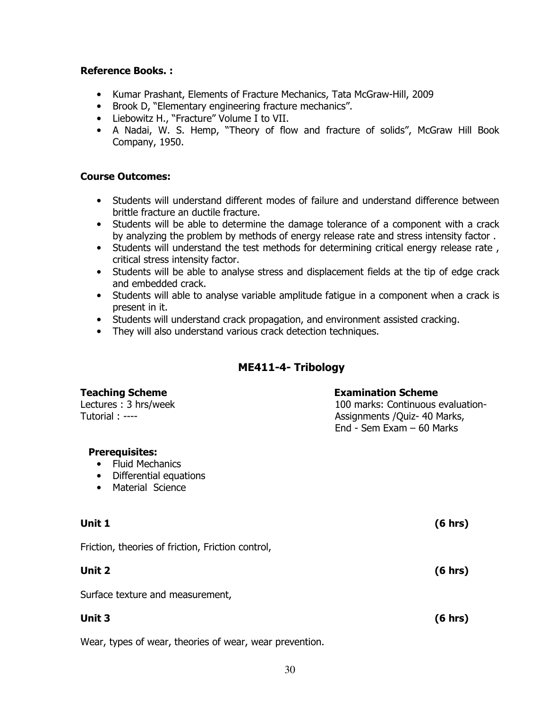#### **Reference Books. :**

- Kumar Prashant, Elements of Fracture Mechanics, Tata McGraw-Hill, 2009
- Brook D, "Elementary engineering fracture mechanics".
- Liebowitz H., "Fracture" Volume I to VII.
- A Nadai, W. S. Hemp, "Theory of flow and fracture of solids", McGraw Hill Book Company, 1950.

#### **Course Outcomes:**

- Students will understand different modes of failure and understand difference between brittle fracture an ductile fracture.
- Students will be able to determine the damage tolerance of a component with a crack by analyzing the problem by methods of energy release rate and stress intensity factor .
- Students will understand the test methods for determining critical energy release rate , critical stress intensity factor.
- Students will be able to analyse stress and displacement fields at the tip of edge crack and embedded crack.
- Students will able to analyse variable amplitude fatigue in a component when a crack is present in it.
- Students will understand crack propagation, and environment assisted cracking.
- They will also understand various crack detection techniques.

### **ME411-4- Tribology**

| <b>Teaching Scheme</b><br>Lectures: 3 hrs/week<br>Tutorial: ----                                                        | <b>Examination Scheme</b><br>100 marks: Continuous evaluation-<br>Assignments / Quiz - 40 Marks,<br>End - Sem Exam $-60$ Marks |  |  |
|-------------------------------------------------------------------------------------------------------------------------|--------------------------------------------------------------------------------------------------------------------------------|--|--|
| <b>Prerequisites:</b><br><b>Fluid Mechanics</b><br>Differential equations<br>$\bullet$<br>Material Science<br>$\bullet$ |                                                                                                                                |  |  |
| Unit 1                                                                                                                  | (6 hrs)                                                                                                                        |  |  |
| Friction, theories of friction, Friction control,                                                                       |                                                                                                                                |  |  |
| Unit 2                                                                                                                  | (6 hrs)                                                                                                                        |  |  |
| Surface texture and measurement,                                                                                        |                                                                                                                                |  |  |
| Unit 3                                                                                                                  | (6 hrs)                                                                                                                        |  |  |
| Wear, types of wear, theories of wear, wear prevention.                                                                 |                                                                                                                                |  |  |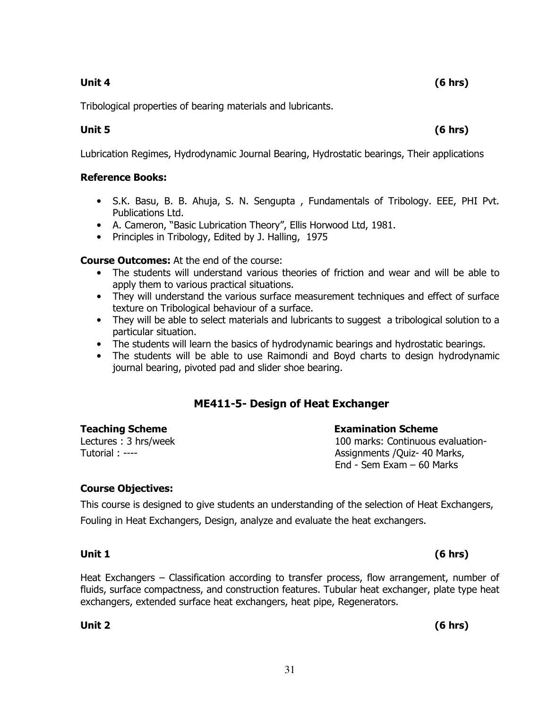Tribological properties of bearing materials and lubricants.

Lubrication Regimes, Hydrodynamic Journal Bearing, Hydrostatic bearings, Their applications

### **Reference Books:**

- S.K. Basu, B. B. Ahuja, S. N. Sengupta , Fundamentals of Tribology. EEE, PHI Pvt. Publications Ltd.
- A. Cameron, "Basic Lubrication Theory", Ellis Horwood Ltd, 1981.
- Principles in Tribology, Edited by J. Halling, 1975

**Course Outcomes:** At the end of the course:

- The students will understand various theories of friction and wear and will be able to apply them to various practical situations.
- They will understand the various surface measurement techniques and effect of surface texture on Tribological behaviour of a surface.
- They will be able to select materials and lubricants to suggest a tribological solution to a particular situation.
- The students will learn the basics of hydrodynamic bearings and hydrostatic bearings.
- The students will be able to use Raimondi and Boyd charts to design hydrodynamic journal bearing, pivoted pad and slider shoe bearing.

# **ME411-5- Design of Heat Exchanger**

**Teaching Scheme Examination Scheme** Lectures : 3 hrs/week Tutorial : ----

100 marks: Continuous evaluation-Assignments /Quiz- 40 Marks, End - Sem Exam – 60 Marks

### **Course Objectives:**

This course is designed to give students an understanding of the selection of Heat Exchangers, Fouling in Heat Exchangers, Design, analyze and evaluate the heat exchangers.

### **Unit 1 (6 hrs)**

Heat Exchangers – Classification according to transfer process, flow arrangement, number of fluids, surface compactness, and construction features. Tubular heat exchanger, plate type heat exchangers, extended surface heat exchangers, heat pipe, Regenerators.

**Unit 2 (6 hrs)** 

**Unit 5 (6 hrs)**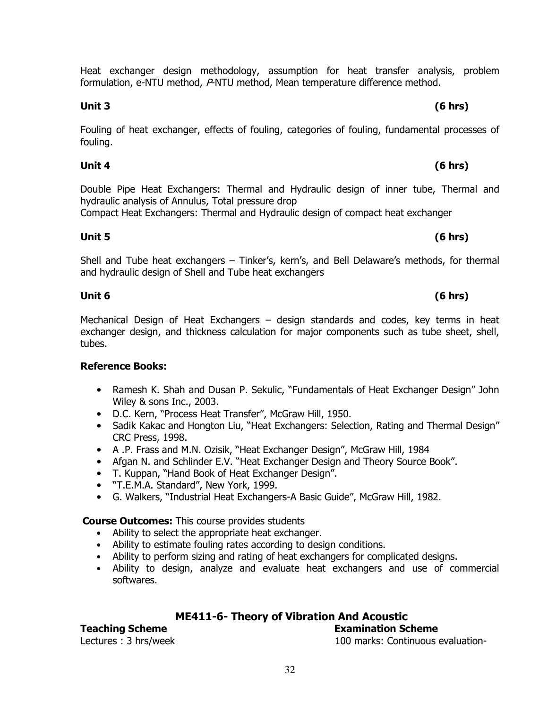Heat exchanger design methodology, assumption for heat transfer analysis, problem formulation, e-NTU method, P-NTU method, Mean temperature difference method.

#### **Unit 3 (6 hrs)**

Fouling of heat exchanger, effects of fouling, categories of fouling, fundamental processes of fouling.

### **Unit 4 (6 hrs)**

Double Pipe Heat Exchangers: Thermal and Hydraulic design of inner tube, Thermal and hydraulic analysis of Annulus, Total pressure drop

Compact Heat Exchangers: Thermal and Hydraulic design of compact heat exchanger

### **Unit 5 (6 hrs)**

Shell and Tube heat exchangers – Tinker's, kern's, and Bell Delaware's methods, for thermal and hydraulic design of Shell and Tube heat exchangers

Mechanical Design of Heat Exchangers – design standards and codes, key terms in heat exchanger design, and thickness calculation for major components such as tube sheet, shell, tubes.

### **Reference Books:**

- Ramesh K. Shah and Dusan P. Sekulic, "Fundamentals of Heat Exchanger Design" John Wiley & sons Inc., 2003.
- D.C. Kern, "Process Heat Transfer", McGraw Hill, 1950.
- Sadik Kakac and Hongton Liu, "Heat Exchangers: Selection, Rating and Thermal Design" CRC Press, 1998.
- A .P. Frass and M.N. Ozisik, "Heat Exchanger Design", McGraw Hill, 1984
- Afgan N. and Schlinder E.V. "Heat Exchanger Design and Theory Source Book".
- T. Kuppan, "Hand Book of Heat Exchanger Design".
- "T.E.M.A. Standard", New York, 1999.
- G. Walkers, "Industrial Heat Exchangers-A Basic Guide", McGraw Hill, 1982.

### **Course Outcomes:** This course provides students

- Ability to select the appropriate heat exchanger.
- Ability to estimate fouling rates according to design conditions.
- Ability to perform sizing and rating of heat exchangers for complicated designs.
- Ability to design, analyze and evaluate heat exchangers and use of commercial softwares.

# **ME411-6- Theory of Vibration And Acoustic**

# **Teaching Scheme Examination Scheme**

Lectures : 3 hrs/week 100 marks: Continuous evaluation-

# **Unit 6 (6 hrs)**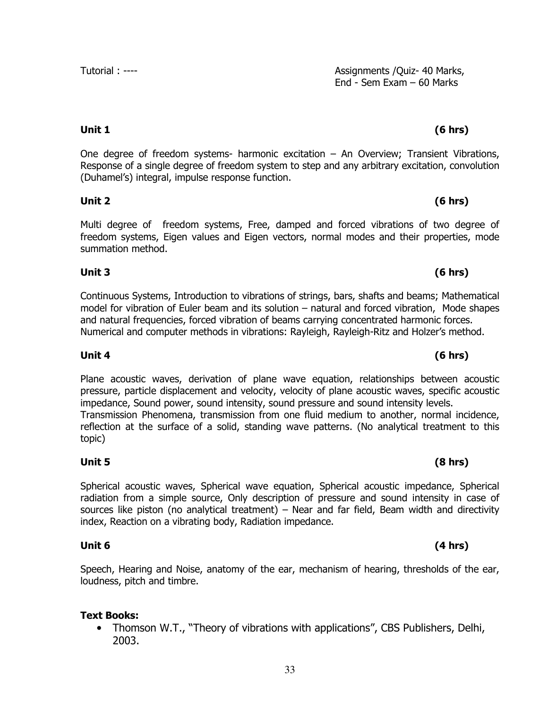One degree of freedom systems- harmonic excitation – An Overview; Transient Vibrations, Response of a single degree of freedom system to step and any arbitrary excitation, convolution (Duhamel's) integral, impulse response function.

### **Unit 2 (6 hrs)**

Multi degree of freedom systems, Free, damped and forced vibrations of two degree of freedom systems, Eigen values and Eigen vectors, normal modes and their properties, mode summation method.

# **Unit 3 (6 hrs)**

Continuous Systems, Introduction to vibrations of strings, bars, shafts and beams; Mathematical model for vibration of Euler beam and its solution – natural and forced vibration, Mode shapes and natural frequencies, forced vibration of beams carrying concentrated harmonic forces. Numerical and computer methods in vibrations: Rayleigh, Rayleigh-Ritz and Holzer's method.

Plane acoustic waves, derivation of plane wave equation, relationships between acoustic pressure, particle displacement and velocity, velocity of plane acoustic waves, specific acoustic impedance, Sound power, sound intensity, sound pressure and sound intensity levels. Transmission Phenomena, transmission from one fluid medium to another, normal incidence, reflection at the surface of a solid, standing wave patterns. (No analytical treatment to this topic)

### **Unit 5 (8 hrs)**

Spherical acoustic waves, Spherical wave equation, Spherical acoustic impedance, Spherical radiation from a simple source, Only description of pressure and sound intensity in case of sources like piston (no analytical treatment) – Near and far field, Beam width and directivity index, Reaction on a vibrating body, Radiation impedance.

Speech, Hearing and Noise, anatomy of the ear, mechanism of hearing, thresholds of the ear, loudness, pitch and timbre.

# **Text Books:**

• Thomson W.T., "Theory of vibrations with applications", CBS Publishers, Delhi, 2003.

#### Tutorial : ---- Tutorial : ---- Tutorial : ---- Assignments /Quiz- 40 Marks, End - Sem Exam – 60 Marks

# **Unit 1 (6 hrs)**

# **Unit 4 (6 hrs)**

# **Unit 6 (4 hrs)**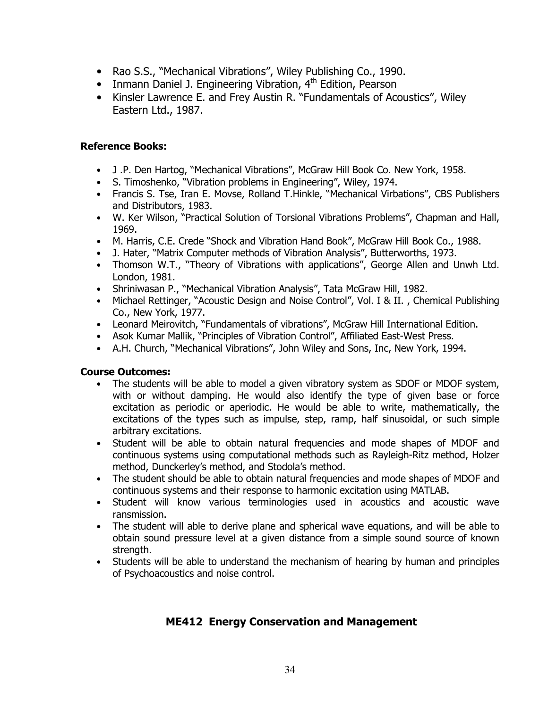- Rao S.S., "Mechanical Vibrations", Wiley Publishing Co., 1990.
- Inmann Daniel J. Engineering Vibration, 4<sup>th</sup> Edition, Pearson
- Kinsler Lawrence E. and Frey Austin R. "Fundamentals of Acoustics", Wiley Eastern Ltd., 1987.

### **Reference Books:**

- J .P. Den Hartog, "Mechanical Vibrations", McGraw Hill Book Co. New York, 1958.
- S. Timoshenko, "Vibration problems in Engineering", Wiley, 1974.
- Francis S. Tse, Iran E. Movse, Rolland T.Hinkle, "Mechanical Virbations", CBS Publishers and Distributors, 1983.
- W. Ker Wilson, "Practical Solution of Torsional Vibrations Problems", Chapman and Hall, 1969.
- M. Harris, C.E. Crede "Shock and Vibration Hand Book", McGraw Hill Book Co., 1988.
- J. Hater, "Matrix Computer methods of Vibration Analysis", Butterworths, 1973.
- Thomson W.T., "Theory of Vibrations with applications", George Allen and Unwh Ltd. London, 1981.
- Shriniwasan P., "Mechanical Vibration Analysis", Tata McGraw Hill, 1982.
- Michael Rettinger, "Acoustic Design and Noise Control", Vol. I & II., Chemical Publishing Co., New York, 1977.
- Leonard Meirovitch, "Fundamentals of vibrations", McGraw Hill International Edition.
- Asok Kumar Mallik, "Principles of Vibration Control", Affiliated East-West Press.
- A.H. Church, "Mechanical Vibrations", John Wiley and Sons, Inc, New York, 1994.

#### **Course Outcomes:**

- The students will be able to model a given vibratory system as SDOF or MDOF system, with or without damping. He would also identify the type of given base or force excitation as periodic or aperiodic. He would be able to write, mathematically, the excitations of the types such as impulse, step, ramp, half sinusoidal, or such simple arbitrary excitations.
- Student will be able to obtain natural frequencies and mode shapes of MDOF and continuous systems using computational methods such as Rayleigh-Ritz method, Holzer method, Dunckerley's method, and Stodola's method.
- The student should be able to obtain natural frequencies and mode shapes of MDOF and continuous systems and their response to harmonic excitation using MATLAB.
- Student will know various terminologies used in acoustics and acoustic wave ransmission.
- The student will able to derive plane and spherical wave equations, and will be able to obtain sound pressure level at a given distance from a simple sound source of known strength.
- Students will be able to understand the mechanism of hearing by human and principles of Psychoacoustics and noise control.

### **ME412 Energy Conservation and Management**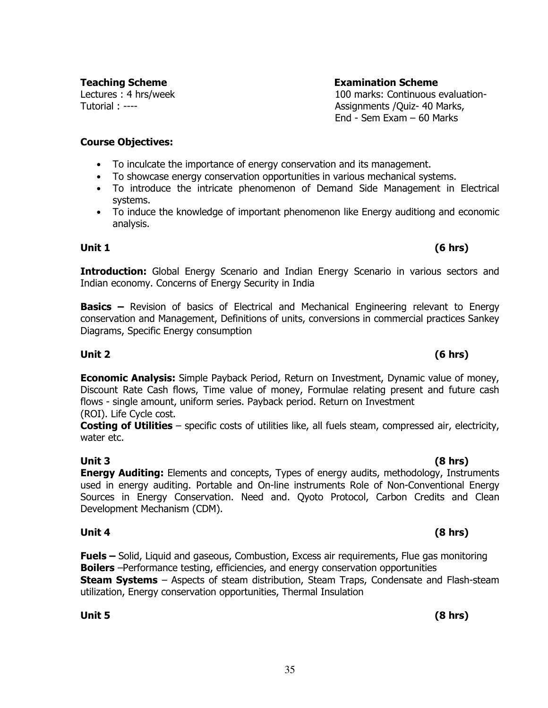**Teaching Scheme Examination Scheme** Lectures : 4 hrs/week

Tutorial : ----

100 marks: Continuous evaluation-Assignments /Quiz- 40 Marks, End - Sem Exam – 60 Marks

### **Course Objectives:**

- To inculcate the importance of energy conservation and its management.
- To showcase energy conservation opportunities in various mechanical systems.
- To introduce the intricate phenomenon of Demand Side Management in Electrical systems.
- To induce the knowledge of important phenomenon like Energy auditiong and economic analysis.

### **Unit 1 (6 hrs)**

**Introduction:** Global Energy Scenario and Indian Energy Scenario in various sectors and Indian economy. Concerns of Energy Security in India

**Basics –** Revision of basics of Electrical and Mechanical Engineering relevant to Energy conservation and Management, Definitions of units, conversions in commercial practices Sankey Diagrams, Specific Energy consumption

**Economic Analysis:** Simple Payback Period, Return on Investment, Dynamic value of money, Discount Rate Cash flows, Time value of money, Formulae relating present and future cash flows - single amount, uniform series. Payback period. Return on Investment (ROI). Life Cycle cost.

**Costing of Utilities** – specific costs of utilities like, all fuels steam, compressed air, electricity, water etc.

**Unit 3 (8 hrs) Energy Auditing:** Elements and concepts, Types of energy audits, methodology, Instruments used in energy auditing. Portable and On-line instruments Role of Non-Conventional Energy Sources in Energy Conservation. Need and. Qyoto Protocol, Carbon Credits and Clean Development Mechanism (CDM).

### **Unit 4 (8 hrs)**

**Fuels –** Solid, Liquid and gaseous, Combustion, Excess air requirements, Flue gas monitoring **Boilers** –Performance testing, efficiencies, and energy conservation opportunities **Steam Systems** – Aspects of steam distribution, Steam Traps, Condensate and Flash-steam utilization, Energy conservation opportunities, Thermal Insulation

**Unit 5 (8 hrs)** 

# **Unit 2 (6 hrs)**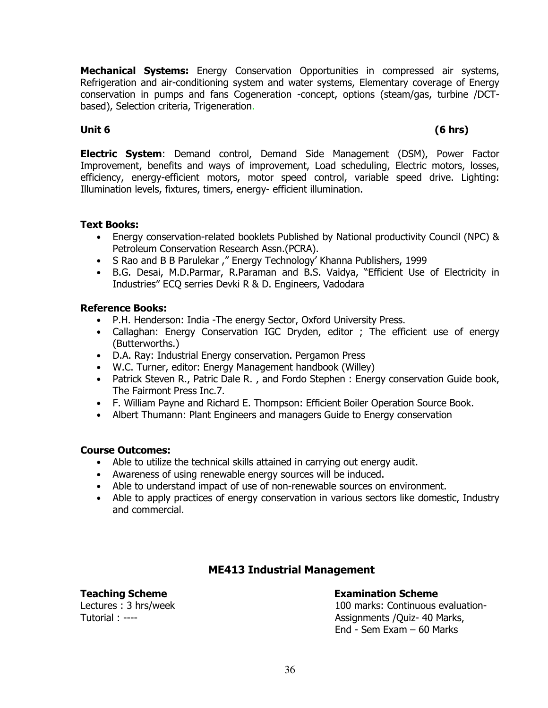**Mechanical Systems:** Energy Conservation Opportunities in compressed air systems, Refrigeration and air-conditioning system and water systems, Elementary coverage of Energy conservation in pumps and fans Cogeneration -concept, options (steam/gas, turbine /DCTbased), Selection criteria, Trigeneration.

### **Unit 6 (6 hrs)**

**Electric System**: Demand control, Demand Side Management (DSM), Power Factor Improvement, benefits and ways of improvement, Load scheduling, Electric motors, losses, efficiency, energy-efficient motors, motor speed control, variable speed drive. Lighting: Illumination levels, fixtures, timers, energy- efficient illumination.

#### **Text Books:**

- Energy conservation-related booklets Published by National productivity Council (NPC) & Petroleum Conservation Research Assn.(PCRA).
- S Rao and B B Parulekar ," Energy Technology' Khanna Publishers, 1999
- B.G. Desai, M.D.Parmar, R.Paraman and B.S. Vaidya, "Efficient Use of Electricity in Industries" ECQ serries Devki R & D. Engineers, Vadodara

### **Reference Books:**

- P.H. Henderson: India -The energy Sector, Oxford University Press.
- Callaghan: Energy Conservation IGC Dryden, editor; The efficient use of energy (Butterworths.)
- D.A. Ray: Industrial Energy conservation. Pergamon Press
- W.C. Turner, editor: Energy Management handbook (Willey)
- Patrick Steven R., Patric Dale R., and Fordo Stephen : Energy conservation Guide book, The Fairmont Press Inc.7.
- F. William Payne and Richard E. Thompson: Efficient Boiler Operation Source Book.
- Albert Thumann: Plant Engineers and managers Guide to Energy conservation

### **Course Outcomes:**

- Able to utilize the technical skills attained in carrying out energy audit.
- Awareness of using renewable energy sources will be induced.
- Able to understand impact of use of non-renewable sources on environment.
- Able to apply practices of energy conservation in various sectors like domestic, Industry and commercial.

### **ME413 Industrial Management**

Lectures : 3 hrs/week Tutorial : ----

### **Teaching Scheme Examination Scheme**

100 marks: Continuous evaluation-Assignments /Quiz- 40 Marks, End - Sem Exam – 60 Marks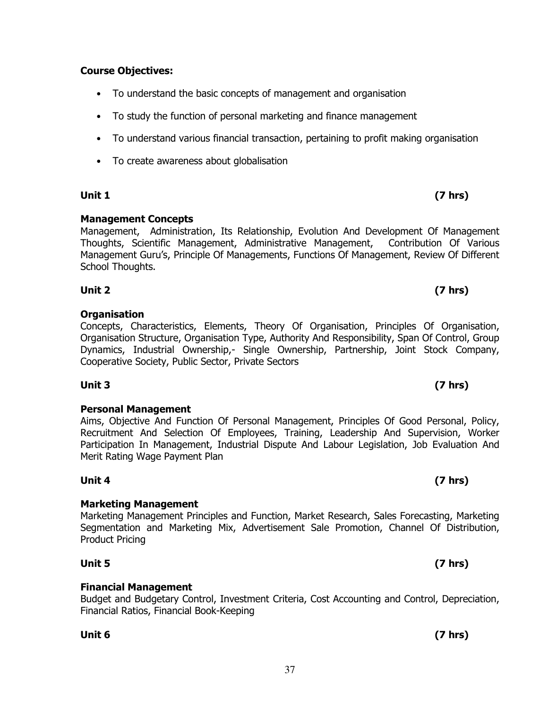## **Course Objectives:**

- To understand the basic concepts of management and organisation
- To study the function of personal marketing and finance management
- To understand various financial transaction, pertaining to profit making organisation
- To create awareness about globalisation

### **Unit 1 (7 hrs)**

### **Management Concepts**

Management, Administration, Its Relationship, Evolution And Development Of Management Thoughts, Scientific Management, Administrative Management, Contribution Of Various Management Guru's, Principle Of Managements, Functions Of Management, Review Of Different School Thoughts.

### **Organisation**

#### Concepts, Characteristics, Elements, Theory Of Organisation, Principles Of Organisation, Organisation Structure, Organisation Type, Authority And Responsibility, Span Of Control, Group Dynamics, Industrial Ownership,- Single Ownership, Partnership, Joint Stock Company, Cooperative Society, Public Sector, Private Sectors

**Unit 3 (7 hrs)** 

# **Personal Management**

Aims, Objective And Function Of Personal Management, Principles Of Good Personal, Policy, Recruitment And Selection Of Employees, Training, Leadership And Supervision, Worker Participation In Management, Industrial Dispute And Labour Legislation, Job Evaluation And Merit Rating Wage Payment Plan

**Unit 4 (7 hrs)** 

### **Marketing Management**

### Marketing Management Principles and Function, Market Research, Sales Forecasting, Marketing Segmentation and Marketing Mix, Advertisement Sale Promotion, Channel Of Distribution, Product Pricing

**Financial Management** 

Budget and Budgetary Control, Investment Criteria, Cost Accounting and Control, Depreciation, Financial Ratios, Financial Book-Keeping

**Unit 6 (7 hrs)** 

# **Unit 2 (7 hrs)**

# **Unit 5 (7 hrs)**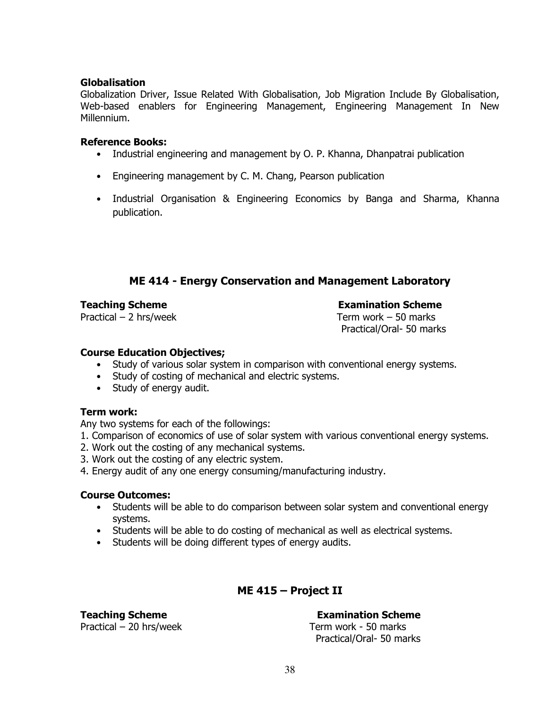#### **Globalisation**

Globalization Driver, Issue Related With Globalisation, Job Migration Include By Globalisation, Web-based enablers for Engineering Management, Engineering Management In New Millennium.

#### **Reference Books:**

- Industrial engineering and management by O. P. Khanna, Dhanpatrai publication
- Engineering management by C. M. Chang, Pearson publication
- Industrial Organisation & Engineering Economics by Banga and Sharma, Khanna publication.

# **ME 414 - Energy Conservation and Management Laboratory**

#### **Teaching Scheme Examination Scheme**

Practical – 2 hrs/week Term work – 50 marks

Practical/Oral- 50 marks

#### **Course Education Objectives;**

- Study of various solar system in comparison with conventional energy systems.
- Study of costing of mechanical and electric systems.
- Study of energy audit.

### **Term work:**

Any two systems for each of the followings:

- 1. Comparison of economics of use of solar system with various conventional energy systems.
- 2. Work out the costing of any mechanical systems.
- 3. Work out the costing of any electric system.
- 4. Energy audit of any one energy consuming/manufacturing industry.

### **Course Outcomes:**

- Students will be able to do comparison between solar system and conventional energy systems.
- Students will be able to do costing of mechanical as well as electrical systems.
- Students will be doing different types of energy audits.

# **ME 415 – Project II**

Practical – 20 hrs/week Term work - 50 marks

**Teaching Scheme Examination Scheme** 

Practical/Oral- 50 marks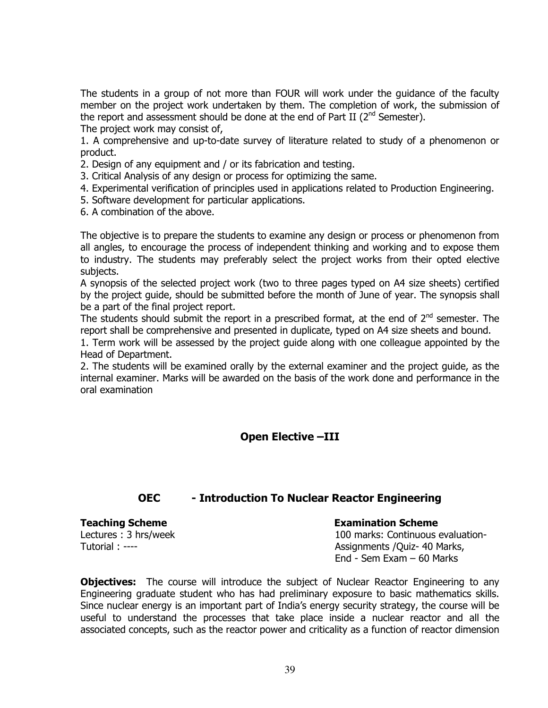The students in a group of not more than FOUR will work under the guidance of the faculty member on the project work undertaken by them. The completion of work, the submission of the report and assessment should be done at the end of Part II ( $2<sup>nd</sup>$  Semester). The project work may consist of,

1. A comprehensive and up-to-date survey of literature related to study of a phenomenon or product.

- 2. Design of any equipment and / or its fabrication and testing.
- 3. Critical Analysis of any design or process for optimizing the same.
- 4. Experimental verification of principles used in applications related to Production Engineering.
- 5. Software development for particular applications.
- 6. A combination of the above.

The objective is to prepare the students to examine any design or process or phenomenon from all angles, to encourage the process of independent thinking and working and to expose them to industry. The students may preferably select the project works from their opted elective subjects.

A synopsis of the selected project work (two to three pages typed on A4 size sheets) certified by the project guide, should be submitted before the month of June of year. The synopsis shall be a part of the final project report.

The students should submit the report in a prescribed format, at the end of  $2^{nd}$  semester. The report shall be comprehensive and presented in duplicate, typed on A4 size sheets and bound.

1. Term work will be assessed by the project guide along with one colleague appointed by the Head of Department.

2. The students will be examined orally by the external examiner and the project guide, as the internal examiner. Marks will be awarded on the basis of the work done and performance in the oral examination

### **Open Elective –III**

### **OEC - Introduction To Nuclear Reactor Engineering**

Lectures : 3 hrs/week Tutorial : ----

#### **Teaching Scheme**  The **Examination Scheme Examination Scheme**

100 marks: Continuous evaluation-Assignments /Quiz- 40 Marks, End - Sem Exam – 60 Marks

**Objectives:** The course will introduce the subject of Nuclear Reactor Engineering to any Engineering graduate student who has had preliminary exposure to basic mathematics skills. Since nuclear energy is an important part of India's energy security strategy, the course will be useful to understand the processes that take place inside a nuclear reactor and all the associated concepts, such as the reactor power and criticality as a function of reactor dimension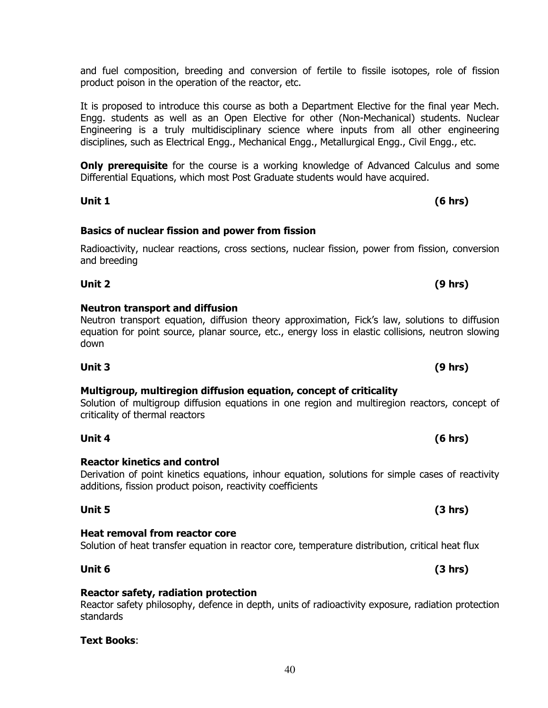and fuel composition, breeding and conversion of fertile to fissile isotopes, role of fission product poison in the operation of the reactor, etc.

It is proposed to introduce this course as both a Department Elective for the final year Mech. Engg. students as well as an Open Elective for other (Non-Mechanical) students. Nuclear Engineering is a truly multidisciplinary science where inputs from all other engineering disciplines, such as Electrical Engg., Mechanical Engg., Metallurgical Engg., Civil Engg., etc.

**Only prerequisite** for the course is a working knowledge of Advanced Calculus and some Differential Equations, which most Post Graduate students would have acquired.

**Unit 1 (6 hrs)** 

# **Basics of nuclear fission and power from fission**

### Radioactivity, nuclear reactions, cross sections, nuclear fission, power from fission, conversion and breeding

Neutron transport equation, diffusion theory approximation, Fick's law, solutions to diffusion

# **Neutron transport and diffusion**

# equation for point source, planar source, etc., energy loss in elastic collisions, neutron slowing down **Unit 3 (9 hrs)**

**Unit 2 (9 hrs)** 

#### **Multigroup, multiregion diffusion equation, concept of criticality**  Solution of multigroup diffusion equations in one region and multiregion reactors, concept of

criticality of thermal reactors

**Reactor kinetics and control** 

**Unit 4 (6 hrs)** 

#### Derivation of point kinetics equations, inhour equation, solutions for simple cases of reactivity additions, fission product poison, reactivity coefficients

**Heat removal from reactor core** 

Solution of heat transfer equation in reactor core, temperature distribution, critical heat flux **Unit 6 (3 hrs)** 

**Reactor safety, radiation protection**  Reactor safety philosophy, defence in depth, units of radioactivity exposure, radiation protection standards

**Text Books**:

### **Unit 5 (3 hrs)**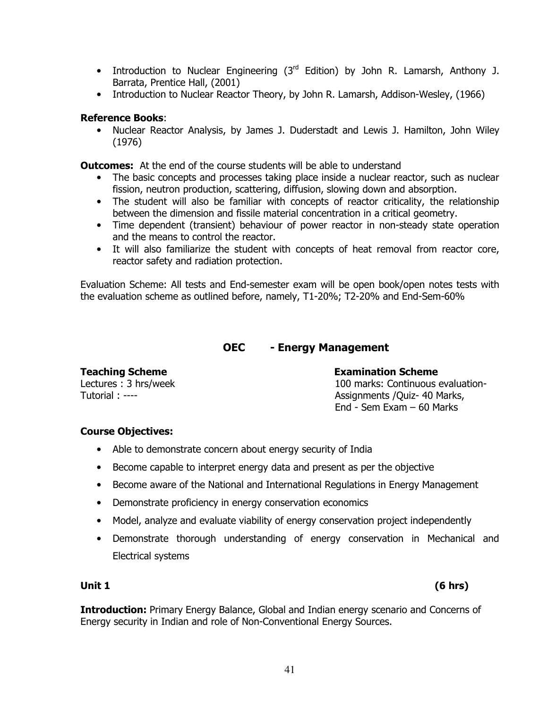- Introduction to Nuclear Engineering  $(3<sup>rd</sup>$  Edition) by John R. Lamarsh, Anthony J. Barrata, Prentice Hall, (2001)
- Introduction to Nuclear Reactor Theory, by John R. Lamarsh, Addison-Wesley, (1966)

#### **Reference Books**:

• Nuclear Reactor Analysis, by James J. Duderstadt and Lewis J. Hamilton, John Wiley (1976)

**Outcomes:** At the end of the course students will be able to understand

- The basic concepts and processes taking place inside a nuclear reactor, such as nuclear fission, neutron production, scattering, diffusion, slowing down and absorption.
- The student will also be familiar with concepts of reactor criticality, the relationship between the dimension and fissile material concentration in a critical geometry.
- Time dependent (transient) behaviour of power reactor in non-steady state operation and the means to control the reactor.
- It will also familiarize the student with concepts of heat removal from reactor core, reactor safety and radiation protection.

Evaluation Scheme: All tests and End-semester exam will be open book/open notes tests with the evaluation scheme as outlined before, namely, T1-20%; T2-20% and End-Sem-60%

### **OEC - Energy Management**

Lectures : 3 hrs/week Tutorial : ----

# **Teaching Scheme Examination Scheme**

100 marks: Continuous evaluation-Assignments /Quiz- 40 Marks, End - Sem Exam – 60 Marks

### **Course Objectives:**

- Able to demonstrate concern about energy security of India
- Become capable to interpret energy data and present as per the objective
- Become aware of the National and International Regulations in Energy Management
- Demonstrate proficiency in energy conservation economics
- Model, analyze and evaluate viability of energy conservation project independently
- Demonstrate thorough understanding of energy conservation in Mechanical and Electrical systems

**Introduction:** Primary Energy Balance, Global and Indian energy scenario and Concerns of Energy security in Indian and role of Non-Conventional Energy Sources.

**Unit 1 (6 hrs)**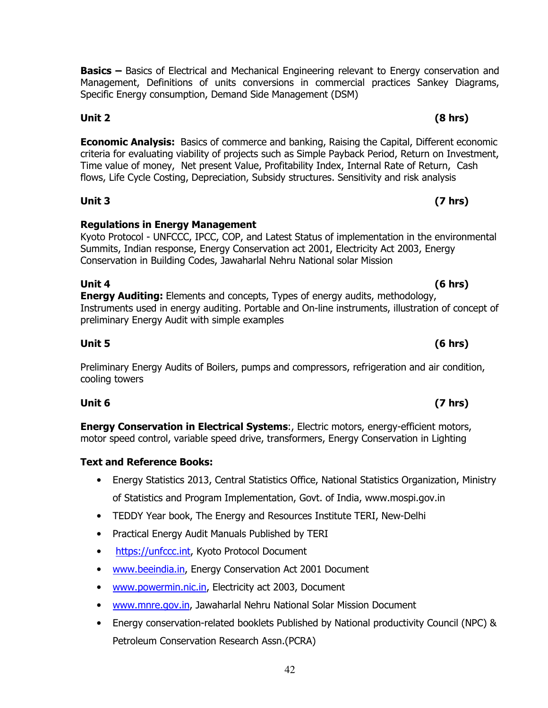**Basics –** Basics of Electrical and Mechanical Engineering relevant to Energy conservation and Management, Definitions of units conversions in commercial practices Sankey Diagrams, Specific Energy consumption, Demand Side Management (DSM)

**Economic Analysis:** Basics of commerce and banking, Raising the Capital, Different economic criteria for evaluating viability of projects such as Simple Payback Period, Return on Investment, Time value of money, Net present Value, Profitability Index, Internal Rate of Return, Cash flows, Life Cycle Costing, Depreciation, Subsidy structures. Sensitivity and risk analysis

**Unit 3 (7 hrs)** 

### **Regulations in Energy Management**

Kyoto Protocol - UNFCCC, IPCC, COP, and Latest Status of implementation in the environmental Summits, Indian response, Energy Conservation act 2001, Electricity Act 2003, Energy Conservation in Building Codes, Jawaharlal Nehru National solar Mission

**Unit 4 (6 hrs) Energy Auditing:** Elements and concepts, Types of energy audits, methodology, Instruments used in energy auditing. Portable and On-line instruments, illustration of concept of preliminary Energy Audit with simple examples

Preliminary Energy Audits of Boilers, pumps and compressors, refrigeration and air condition, cooling towers

**Unit 5 (6 hrs)** 

**Energy Conservation in Electrical Systems**:, Electric motors, energy-efficient motors, motor speed control, variable speed drive, transformers, Energy Conservation in Lighting

# **Text and Reference Books:**

- Energy Statistics 2013, Central Statistics Office, National Statistics Organization, Ministry of Statistics and Program Implementation, Govt. of India, www.mospi.gov.in
- TEDDY Year book, The Energy and Resources Institute TERI, New-Delhi
- Practical Energy Audit Manuals Published by TERI
- https://unfccc.int, Kyoto Protocol Document
- www.beeindia.in, Energy Conservation Act 2001 Document
- www.powermin.nic.in, Electricity act 2003, Document
- www.mnre.gov.in, Jawaharlal Nehru National Solar Mission Document
- Energy conservation-related booklets Published by National productivity Council (NPC) & Petroleum Conservation Research Assn.(PCRA)

# **Unit 6 (7 hrs)**

# **Unit 2 (8 hrs)**